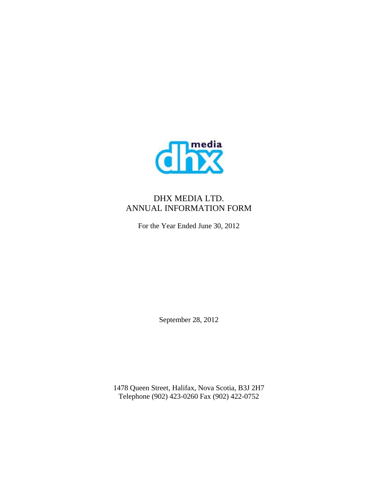

# DHX MEDIA LTD. ANNUAL INFORMATION FORM

For the Year Ended June 30, 2012

September 28, 2012

1478 Queen Street, Halifax, Nova Scotia, B3J 2H7 Telephone (902) 423-0260 Fax (902) 422-0752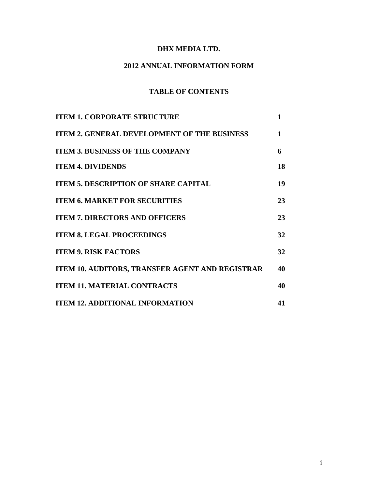# **DHX MEDIA LTD.**

# **2012 ANNUAL INFORMATION FORM**

# **TABLE OF CONTENTS**

| <b>ITEM 1. CORPORATE STRUCTURE</b>                 | 1  |
|----------------------------------------------------|----|
| <b>ITEM 2. GENERAL DEVELOPMENT OF THE BUSINESS</b> | 1  |
| <b>ITEM 3. BUSINESS OF THE COMPANY</b>             | 6  |
| <b>ITEM 4. DIVIDENDS</b>                           | 18 |
| <b>ITEM 5. DESCRIPTION OF SHARE CAPITAL</b>        | 19 |
| <b>ITEM 6. MARKET FOR SECURITIES</b>               | 23 |
| <b>ITEM 7. DIRECTORS AND OFFICERS</b>              | 23 |
| <b>ITEM 8. LEGAL PROCEEDINGS</b>                   | 32 |
| <b>ITEM 9. RISK FACTORS</b>                        | 32 |
| ITEM 10. AUDITORS, TRANSFER AGENT AND REGISTRAR    | 40 |
| <b>ITEM 11. MATERIAL CONTRACTS</b>                 | 40 |
| <b>ITEM 12. ADDITIONAL INFORMATION</b>             | 41 |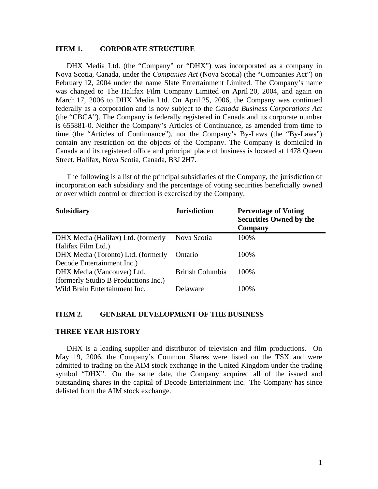#### **ITEM 1. CORPORATE STRUCTURE**

DHX Media Ltd. (the "Company" or "DHX") was incorporated as a company in Nova Scotia, Canada, under the *Companies Act* (Nova Scotia) (the "Companies Act") on February 12, 2004 under the name Slate Entertainment Limited. The Company's name was changed to The Halifax Film Company Limited on April 20, 2004, and again on March 17, 2006 to DHX Media Ltd. On April 25, 2006, the Company was continued federally as a corporation and is now subject to the *Canada Business Corporations Act*  (the "CBCA"). The Company is federally registered in Canada and its corporate number is 655881-0. Neither the Company's Articles of Continuance, as amended from time to time (the "Articles of Continuance"), nor the Company's By-Laws (the "By-Laws") contain any restriction on the objects of the Company. The Company is domiciled in Canada and its registered office and principal place of business is located at 1478 Queen Street, Halifax, Nova Scotia, Canada, B3J 2H7.

The following is a list of the principal subsidiaries of the Company, the jurisdiction of incorporation each subsidiary and the percentage of voting securities beneficially owned or over which control or direction is exercised by the Company.

| <b>Subsidiary</b>                    | <b>Jurisdiction</b>     | <b>Percentage of Voting</b><br><b>Securities Owned by the</b><br>Company |
|--------------------------------------|-------------------------|--------------------------------------------------------------------------|
| DHX Media (Halifax) Ltd. (formerly   | Nova Scotia             | 100%                                                                     |
| Halifax Film Ltd.)                   |                         |                                                                          |
| DHX Media (Toronto) Ltd. (formerly   | Ontario                 | 100%                                                                     |
| Decode Entertainment Inc.)           |                         |                                                                          |
| DHX Media (Vancouver) Ltd.           | <b>British Columbia</b> | 100%                                                                     |
| (formerly Studio B Productions Inc.) |                         |                                                                          |
| Wild Brain Entertainment Inc.        | Delaware                | 100%                                                                     |

#### **ITEM 2. GENERAL DEVELOPMENT OF THE BUSINESS**

#### **THREE YEAR HISTORY**

DHX is a leading supplier and distributor of television and film productions. On May 19, 2006, the Company's Common Shares were listed on the TSX and were admitted to trading on the AIM stock exchange in the United Kingdom under the trading symbol "DHX". On the same date, the Company acquired all of the issued and outstanding shares in the capital of Decode Entertainment Inc. The Company has since delisted from the AIM stock exchange.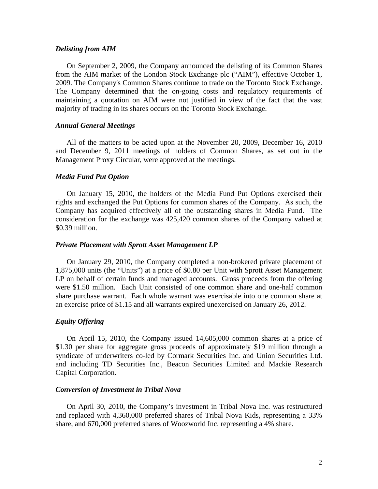#### *Delisting from AIM*

On September 2, 2009, the Company announced the delisting of its Common Shares from the AIM market of the London Stock Exchange plc ("AIM"), effective October 1, 2009. The Company's Common Shares continue to trade on the Toronto Stock Exchange. The Company determined that the on-going costs and regulatory requirements of maintaining a quotation on AIM were not justified in view of the fact that the vast majority of trading in its shares occurs on the Toronto Stock Exchange.

#### *Annual General Meetings*

All of the matters to be acted upon at the November 20, 2009, December 16, 2010 and December 9, 2011 meetings of holders of Common Shares, as set out in the Management Proxy Circular, were approved at the meetings.

#### *Media Fund Put Option*

On January 15, 2010, the holders of the Media Fund Put Options exercised their rights and exchanged the Put Options for common shares of the Company. As such, the Company has acquired effectively all of the outstanding shares in Media Fund. The consideration for the exchange was 425,420 common shares of the Company valued at \$0.39 million.

#### *Private Placement with Sprott Asset Management LP*

On January 29, 2010, the Company completed a non-brokered private placement of 1,875,000 units (the "Units") at a price of \$0.80 per Unit with Sprott Asset Management LP on behalf of certain funds and managed accounts. Gross proceeds from the offering were \$1.50 million. Each Unit consisted of one common share and one-half common share purchase warrant. Each whole warrant was exercisable into one common share at an exercise price of \$1.15 and all warrants expired unexercised on January 26, 2012.

#### *Equity Offering*

On April 15, 2010, the Company issued 14,605,000 common shares at a price of \$1.30 per share for aggregate gross proceeds of approximately \$19 million through a syndicate of underwriters co-led by Cormark Securities Inc. and Union Securities Ltd. and including TD Securities Inc., Beacon Securities Limited and Mackie Research Capital Corporation.

#### *Conversion of Investment in Tribal Nova*

On April 30, 2010, the Company's investment in Tribal Nova Inc. was restructured and replaced with 4,360,000 preferred shares of Tribal Nova Kids, representing a 33% share, and 670,000 preferred shares of Woozworld Inc. representing a 4% share.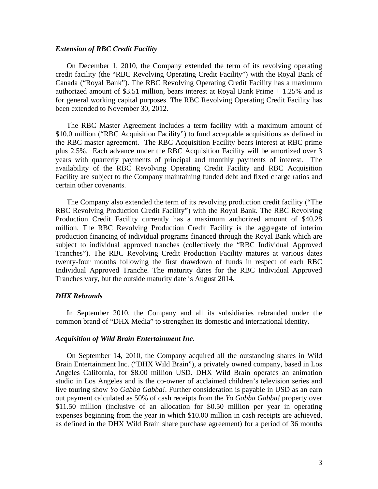#### *Extension of RBC Credit Facility*

On December 1, 2010, the Company extended the term of its revolving operating credit facility (the "RBC Revolving Operating Credit Facility") with the Royal Bank of Canada ("Royal Bank"). The RBC Revolving Operating Credit Facility has a maximum authorized amount of \$3.51 million, bears interest at Royal Bank Prime + 1.25% and is for general working capital purposes. The RBC Revolving Operating Credit Facility has been extended to November 30, 2012.

The RBC Master Agreement includes a term facility with a maximum amount of \$10.0 million ("RBC Acquisition Facility") to fund acceptable acquisitions as defined in the RBC master agreement. The RBC Acquisition Facility bears interest at RBC prime plus 2.5%. Each advance under the RBC Acquisition Facility will be amortized over 3 years with quarterly payments of principal and monthly payments of interest. The availability of the RBC Revolving Operating Credit Facility and RBC Acquisition Facility are subject to the Company maintaining funded debt and fixed charge ratios and certain other covenants.

The Company also extended the term of its revolving production credit facility ("The RBC Revolving Production Credit Facility") with the Royal Bank. The RBC Revolving Production Credit Facility currently has a maximum authorized amount of \$40.28 million. The RBC Revolving Production Credit Facility is the aggregate of interim production financing of individual programs financed through the Royal Bank which are subject to individual approved tranches (collectively the "RBC Individual Approved Tranches"). The RBC Revolving Credit Production Facility matures at various dates twenty-four months following the first drawdown of funds in respect of each RBC Individual Approved Tranche. The maturity dates for the RBC Individual Approved Tranches vary, but the outside maturity date is August 2014.

#### *DHX Rebrands*

In September 2010, the Company and all its subsidiaries rebranded under the common brand of "DHX Media" to strengthen its domestic and international identity.

#### *Acquisition of Wild Brain Entertainment Inc.*

On September 14, 2010, the Company acquired all the outstanding shares in Wild Brain Entertainment Inc. ("DHX Wild Brain"), a privately owned company, based in Los Angeles California, for \$8.00 million USD. DHX Wild Brain operates an animation studio in Los Angeles and is the co-owner of acclaimed children's television series and live touring show *Yo Gabba Gabba!*. Further consideration is payable in USD as an earn out payment calculated as 50% of cash receipts from the *Yo Gabba Gabba!* property over \$11.50 million (inclusive of an allocation for \$0.50 million per year in operating expenses beginning from the year in which \$10.00 million in cash receipts are achieved, as defined in the DHX Wild Brain share purchase agreement) for a period of 36 months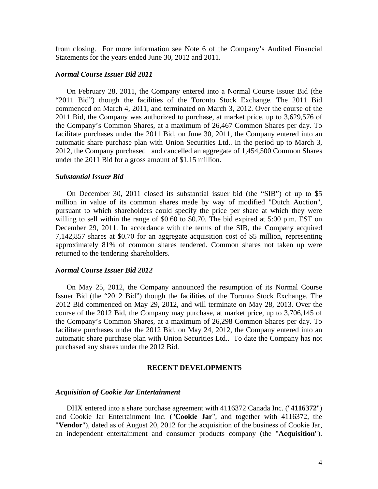from closing. For more information see Note 6 of the Company's Audited Financial Statements for the years ended June 30, 2012 and 2011.

#### *Normal Course Issuer Bid 2011*

On February 28, 2011, the Company entered into a Normal Course Issuer Bid (the "2011 Bid") though the facilities of the Toronto Stock Exchange. The 2011 Bid commenced on March 4, 2011, and terminated on March 3, 2012. Over the course of the 2011 Bid, the Company was authorized to purchase, at market price, up to 3,629,576 of the Company's Common Shares, at a maximum of 26,467 Common Shares per day. To facilitate purchases under the 2011 Bid, on June 30, 2011, the Company entered into an automatic share purchase plan with Union Securities Ltd.. In the period up to March 3, 2012, the Company purchased and cancelled an aggregate of 1,454,500 Common Shares under the 2011 Bid for a gross amount of \$1.15 million.

#### *Substantial Issuer Bid*

On December 30, 2011 closed its substantial issuer bid (the "SIB") of up to \$5 million in value of its common shares made by way of modified "Dutch Auction", pursuant to which shareholders could specify the price per share at which they were willing to sell within the range of \$0.60 to \$0.70. The bid expired at 5:00 p.m. EST on December 29, 2011. In accordance with the terms of the SIB, the Company acquired 7,142,857 shares at \$0.70 for an aggregate acquisition cost of \$5 million, representing approximately 81% of common shares tendered. Common shares not taken up were returned to the tendering shareholders.

#### *Normal Course Issuer Bid 2012*

On May 25, 2012, the Company announced the resumption of its Normal Course Issuer Bid (the "2012 Bid") though the facilities of the Toronto Stock Exchange. The 2012 Bid commenced on May 29, 2012, and will terminate on May 28, 2013. Over the course of the 2012 Bid, the Company may purchase, at market price, up to 3,706,145 of the Company's Common Shares, at a maximum of 26,298 Common Shares per day. To facilitate purchases under the 2012 Bid, on May 24, 2012, the Company entered into an automatic share purchase plan with Union Securities Ltd.. To date the Company has not purchased any shares under the 2012 Bid.

#### **RECENT DEVELOPMENTS**

#### *Acquisition of Cookie Jar Entertainment*

DHX entered into a share purchase agreement with 4116372 Canada Inc. ("**4116372**") and Cookie Jar Entertainment Inc. ("**Cookie Jar**", and together with 4116372, the "**Vendor**"), dated as of August 20, 2012 for the acquisition of the business of Cookie Jar, an independent entertainment and consumer products company (the "**Acquisition**").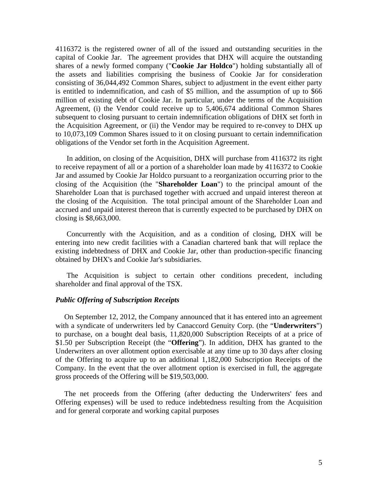4116372 is the registered owner of all of the issued and outstanding securities in the capital of Cookie Jar. The agreement provides that DHX will acquire the outstanding shares of a newly formed company ("**Cookie Jar Holdco**") holding substantially all of the assets and liabilities comprising the business of Cookie Jar for consideration consisting of 36,044,492 Common Shares, subject to adjustment in the event either party is entitled to indemnification, and cash of \$5 million, and the assumption of up to \$66 million of existing debt of Cookie Jar. In particular, under the terms of the Acquisition Agreement, (i) the Vendor could receive up to 5,406,674 additional Common Shares subsequent to closing pursuant to certain indemnification obligations of DHX set forth in the Acquisition Agreement, or (ii) the Vendor may be required to re-convey to DHX up to 10,073,109 Common Shares issued to it on closing pursuant to certain indemnification obligations of the Vendor set forth in the Acquisition Agreement.

In addition, on closing of the Acquisition, DHX will purchase from 4116372 its right to receive repayment of all or a portion of a shareholder loan made by 4116372 to Cookie Jar and assumed by Cookie Jar Holdco pursuant to a reorganization occurring prior to the closing of the Acquisition (the "**Shareholder Loan**") to the principal amount of the Shareholder Loan that is purchased together with accrued and unpaid interest thereon at the closing of the Acquisition. The total principal amount of the Shareholder Loan and accrued and unpaid interest thereon that is currently expected to be purchased by DHX on closing is \$8,663,000.

Concurrently with the Acquisition, and as a condition of closing, DHX will be entering into new credit facilities with a Canadian chartered bank that will replace the existing indebtedness of DHX and Cookie Jar, other than production-specific financing obtained by DHX's and Cookie Jar's subsidiaries.

The Acquisition is subject to certain other conditions precedent, including shareholder and final approval of the TSX.

#### *Public Offering of Subscription Receipts*

On September 12, 2012, the Company announced that it has entered into an agreement with a syndicate of underwriters led by Canaccord Genuity Corp. (the "**Underwriters**") to purchase, on a bought deal basis, 11,820,000 Subscription Receipts of at a price of \$1.50 per Subscription Receipt (the "**Offering**"). In addition, DHX has granted to the Underwriters an over allotment option exercisable at any time up to 30 days after closing of the Offering to acquire up to an additional 1,182,000 Subscription Receipts of the Company. In the event that the over allotment option is exercised in full, the aggregate gross proceeds of the Offering will be \$19,503,000.

The net proceeds from the Offering (after deducting the Underwriters' fees and Offering expenses) will be used to reduce indebtedness resulting from the Acquisition and for general corporate and working capital purposes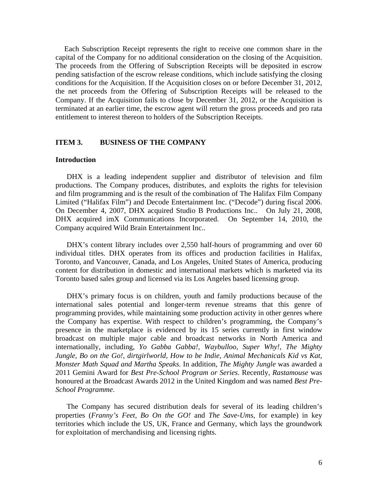Each Subscription Receipt represents the right to receive one common share in the capital of the Company for no additional consideration on the closing of the Acquisition. The proceeds from the Offering of Subscription Receipts will be deposited in escrow pending satisfaction of the escrow release conditions, which include satisfying the closing conditions for the Acquisition. If the Acquisition closes on or before December 31, 2012, the net proceeds from the Offering of Subscription Receipts will be released to the Company. If the Acquisition fails to close by December 31, 2012, or the Acquisition is terminated at an earlier time, the escrow agent will return the gross proceeds and pro rata entitlement to interest thereon to holders of the Subscription Receipts.

#### **ITEM 3. BUSINESS OF THE COMPANY**

#### **Introduction**

DHX is a leading independent supplier and distributor of television and film productions. The Company produces, distributes, and exploits the rights for television and film programming and is the result of the combination of The Halifax Film Company Limited ("Halifax Film") and Decode Entertainment Inc. ("Decode") during fiscal 2006. On December 4, 2007, DHX acquired Studio B Productions Inc.. On July 21, 2008, DHX acquired imX Communications Incorporated. On September 14, 2010, the Company acquired Wild Brain Entertainment Inc..

DHX's content library includes over 2,550 half-hours of programming and over 60 individual titles. DHX operates from its offices and production facilities in Halifax, Toronto, and Vancouver, Canada, and Los Angeles, United States of America, producing content for distribution in domestic and international markets which is marketed via its Toronto based sales group and licensed via its Los Angeles based licensing group.

DHX's primary focus is on children, youth and family productions because of the international sales potential and longer-term revenue streams that this genre of programming provides, while maintaining some production activity in other genres where the Company has expertise. With respect to children's programming, the Company's presence in the marketplace is evidenced by its 15 series currently in first window broadcast on multiple major cable and broadcast networks in North America and internationally, including, *Yo Gabba Gabba!, Waybulloo, Super Why!, The Mighty Jungle, Bo on the Go!*, *dirtgirlworld, How to be Indie*, *Animal Mechanicals Kid vs Kat, Monster Math Squad and Martha Speaks*. In addition, *The Mighty Jungle* was awarded a 2011 Gemini Award for *Best Pre-School Program or Series*. Recently, *Rastamouse* was honoured at the Broadcast Awards 2012 in the United Kingdom and was named *Best Pre-School Programme*.

The Company has secured distribution deals for several of its leading children's properties (*Franny's Feet, Bo On the GO!* and *The Save-Ums*, for example) in key territories which include the US, UK, France and Germany, which lays the groundwork for exploitation of merchandising and licensing rights.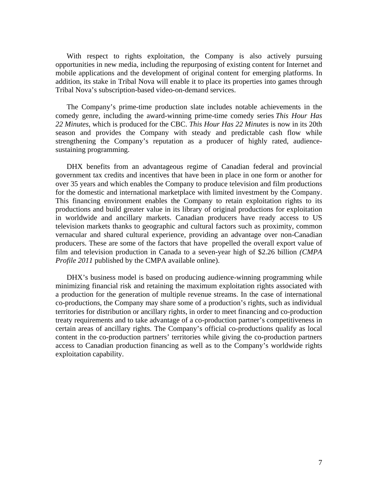With respect to rights exploitation, the Company is also actively pursuing opportunities in new media, including the repurposing of existing content for Internet and mobile applications and the development of original content for emerging platforms. In addition, its stake in Tribal Nova will enable it to place its properties into games through Tribal Nova's subscription-based video-on-demand services.

The Company's prime-time production slate includes notable achievements in the comedy genre, including the award-winning prime-time comedy series *This Hour Has 22 Minutes*, which is produced for the CBC. *This Hour Has 22 Minutes* is now in its 20th season and provides the Company with steady and predictable cash flow while strengthening the Company's reputation as a producer of highly rated, audiencesustaining programming.

DHX benefits from an advantageous regime of Canadian federal and provincial government tax credits and incentives that have been in place in one form or another for over 35 years and which enables the Company to produce television and film productions for the domestic and international marketplace with limited investment by the Company. This financing environment enables the Company to retain exploitation rights to its productions and build greater value in its library of original productions for exploitation in worldwide and ancillary markets. Canadian producers have ready access to US television markets thanks to geographic and cultural factors such as proximity, common vernacular and shared cultural experience, providing an advantage over non-Canadian producers. These are some of the factors that have propelled the overall export value of film and television production in Canada to a seven-year high of \$2.26 billion *(CMPA Profile 2011* published by the CMPA available online).

DHX's business model is based on producing audience-winning programming while minimizing financial risk and retaining the maximum exploitation rights associated with a production for the generation of multiple revenue streams. In the case of international co-productions, the Company may share some of a production's rights, such as individual territories for distribution or ancillary rights, in order to meet financing and co-production treaty requirements and to take advantage of a co-production partner's competitiveness in certain areas of ancillary rights. The Company's official co-productions qualify as local content in the co-production partners' territories while giving the co-production partners access to Canadian production financing as well as to the Company's worldwide rights exploitation capability.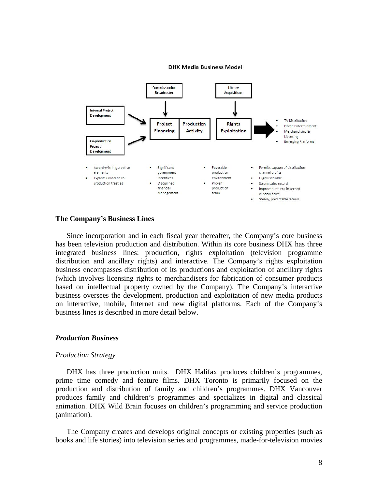#### **DHX Media Business Model**



#### **The Company's Business Lines**

Since incorporation and in each fiscal year thereafter, the Company's core business has been television production and distribution. Within its core business DHX has three integrated business lines: production, rights exploitation (television programme distribution and ancillary rights) and interactive. The Company's rights exploitation business encompasses distribution of its productions and exploitation of ancillary rights (which involves licensing rights to merchandisers for fabrication of consumer products based on intellectual property owned by the Company). The Company's interactive business oversees the development, production and exploitation of new media products on interactive, mobile, Internet and new digital platforms. Each of the Company's business lines is described in more detail below.

#### *Production Business*

#### *Production Strategy*

DHX has three production units. DHX Halifax produces children's programmes, prime time comedy and feature films. DHX Toronto is primarily focused on the production and distribution of family and children's programmes. DHX Vancouver produces family and children's programmes and specializes in digital and classical animation. DHX Wild Brain focuses on children's programming and service production (animation).

The Company creates and develops original concepts or existing properties (such as books and life stories) into television series and programmes, made-for-television movies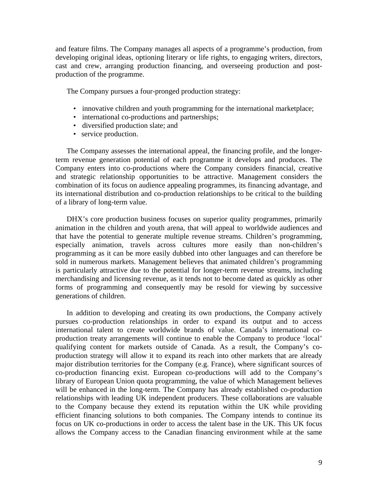and feature films. The Company manages all aspects of a programme's production, from developing original ideas, optioning literary or life rights, to engaging writers, directors, cast and crew, arranging production financing, and overseeing production and postproduction of the programme.

The Company pursues a four-pronged production strategy:

- innovative children and youth programming for the international marketplace;
- international co-productions and partnerships;
- diversified production slate; and
- service production.

The Company assesses the international appeal, the financing profile, and the longerterm revenue generation potential of each programme it develops and produces. The Company enters into co-productions where the Company considers financial, creative and strategic relationship opportunities to be attractive. Management considers the combination of its focus on audience appealing programmes, its financing advantage, and its international distribution and co-production relationships to be critical to the building of a library of long-term value.

DHX's core production business focuses on superior quality programmes, primarily animation in the children and youth arena, that will appeal to worldwide audiences and that have the potential to generate multiple revenue streams. Children's programming, especially animation, travels across cultures more easily than non-children's programming as it can be more easily dubbed into other languages and can therefore be sold in numerous markets. Management believes that animated children's programming is particularly attractive due to the potential for longer-term revenue streams, including merchandising and licensing revenue, as it tends not to become dated as quickly as other forms of programming and consequently may be resold for viewing by successive generations of children.

In addition to developing and creating its own productions, the Company actively pursues co-production relationships in order to expand its output and to access international talent to create worldwide brands of value. Canada's international coproduction treaty arrangements will continue to enable the Company to produce 'local' qualifying content for markets outside of Canada. As a result, the Company's coproduction strategy will allow it to expand its reach into other markets that are already major distribution territories for the Company (e.g. France), where significant sources of co-production financing exist. European co-productions will add to the Company's library of European Union quota programming, the value of which Management believes will be enhanced in the long-term. The Company has already established co-production relationships with leading UK independent producers. These collaborations are valuable to the Company because they extend its reputation within the UK while providing efficient financing solutions to both companies. The Company intends to continue its focus on UK co-productions in order to access the talent base in the UK. This UK focus allows the Company access to the Canadian financing environment while at the same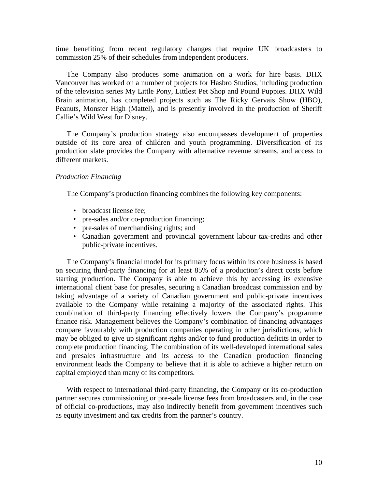time benefiting from recent regulatory changes that require UK broadcasters to commission 25% of their schedules from independent producers.

The Company also produces some animation on a work for hire basis. DHX Vancouver has worked on a number of projects for Hasbro Studios, including production of the television series My Little Pony, Littlest Pet Shop and Pound Puppies. DHX Wild Brain animation, has completed projects such as The Ricky Gervais Show (HBO), Peanuts, Monster High (Mattel), and is presently involved in the production of Sheriff Callie's Wild West for Disney.

The Company's production strategy also encompasses development of properties outside of its core area of children and youth programming. Diversification of its production slate provides the Company with alternative revenue streams, and access to different markets.

#### *Production Financing*

The Company's production financing combines the following key components:

- broadcast license fee:
- pre-sales and/or co-production financing;
- pre-sales of merchandising rights; and
- Canadian government and provincial government labour tax-credits and other public-private incentives.

The Company's financial model for its primary focus within its core business is based on securing third-party financing for at least 85% of a production's direct costs before starting production. The Company is able to achieve this by accessing its extensive international client base for presales, securing a Canadian broadcast commission and by taking advantage of a variety of Canadian government and public-private incentives available to the Company while retaining a majority of the associated rights. This combination of third-party financing effectively lowers the Company's programme finance risk. Management believes the Company's combination of financing advantages compare favourably with production companies operating in other jurisdictions, which may be obliged to give up significant rights and/or to fund production deficits in order to complete production financing. The combination of its well-developed international sales and presales infrastructure and its access to the Canadian production financing environment leads the Company to believe that it is able to achieve a higher return on capital employed than many of its competitors.

With respect to international third-party financing, the Company or its co-production partner secures commissioning or pre-sale license fees from broadcasters and, in the case of official co-productions, may also indirectly benefit from government incentives such as equity investment and tax credits from the partner's country.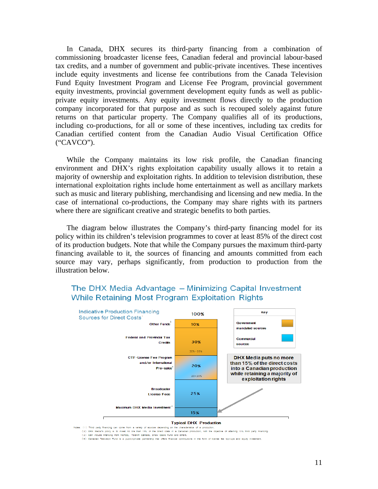In Canada, DHX secures its third-party financing from a combination of commissioning broadcaster license fees, Canadian federal and provincial labour-based tax credits, and a number of government and public-private incentives. These incentives include equity investments and license fee contributions from the Canada Television Fund Equity Investment Program and License Fee Program, provincial government equity investments, provincial government development equity funds as well as publicprivate equity investments. Any equity investment flows directly to the production company incorporated for that purpose and as such is recouped solely against future returns on that particular property. The Company qualifies all of its productions, including co-productions, for all or some of these incentives, including tax credits for Canadian certified content from the Canadian Audio Visual Certification Office ("CAVCO").

While the Company maintains its low risk profile, the Canadian financing environment and DHX's rights exploitation capability usually allows it to retain a majority of ownership and exploitation rights. In addition to television distribution, these international exploitation rights include home entertainment as well as ancillary markets such as music and literary publishing, merchandising and licensing and new media. In the case of international co-productions, the Company may share rights with its partners where there are significant creative and strategic benefits to both parties.

The diagram below illustrates the Company's third-party financing model for its policy within its children's television programmes to cover at least 85% of the direct cost of its production budgets. Note that while the Company pursues the maximum third-party financing available to it, the sources of financing and amounts committed from each source may vary, perhaps significantly, from production to production from the illustration below.

# The DHX Media Advantage - Minimizing Capital Investment **While Retaining Most Program Exploitation Rights**



#### **Typical DHX Production**

(3) Can include financing from NBFDC, Telefim Canada, Shaw Cable Fund and others.<br>(3) Can include financing from NBFDC, Telefim Canada, Shaw Cable Fund and others.<br>(4) Canadian Television Fund is a public-private partnersh

Notes: (1) Third party financing can come from a variety of sources depending on the characteristics of a produc (2) DHX Media's policy is to invest no ore than 15% of the direct costs in a Canadian production, with the objective of attaining 10% third party financing.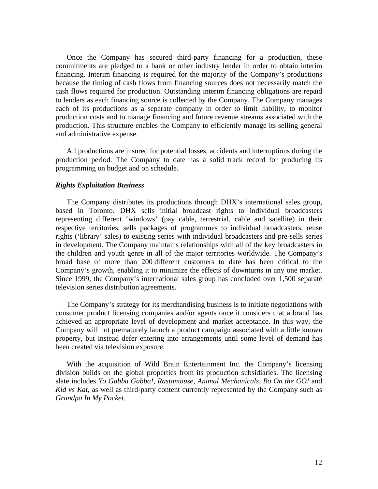Once the Company has secured third-party financing for a production, these commitments are pledged to a bank or other industry lender in order to obtain interim financing. Interim financing is required for the majority of the Company's productions because the timing of cash flows from financing sources does not necessarily match the cash flows required for production. Outstanding interim financing obligations are repaid to lenders as each financing source is collected by the Company. The Company manages each of its productions as a separate company in order to limit liability, to monitor production costs and to manage financing and future revenue streams associated with the production. This structure enables the Company to efficiently manage its selling general and administrative expense.

All productions are insured for potential losses, accidents and interruptions during the production period. The Company to date has a solid track record for producing its programming on budget and on schedule.

#### *Rights Exploitation Business*

The Company distributes its productions through DHX's international sales group, based in Toronto. DHX sells initial broadcast rights to individual broadcasters representing different 'windows' (pay cable, terrestrial, cable and satellite) in their respective territories, sells packages of programmes to individual broadcasters, reuse rights ('library' sales) to existing series with individual broadcasters and pre-sells series in development. The Company maintains relationships with all of the key broadcasters in the children and youth genre in all of the major territories worldwide. The Company's broad base of more than 200 different customers to date has been critical to the Company's growth, enabling it to minimize the effects of downturns in any one market. Since 1999, the Company's international sales group has concluded over 1,500 separate television series distribution agreements.

The Company's strategy for its merchandising business is to initiate negotiations with consumer product licensing companies and/or agents once it considers that a brand has achieved an appropriate level of development and market acceptance. In this way, the Company will not prematurely launch a product campaign associated with a little known property, but instead defer entering into arrangements until some level of demand has been created via television exposure.

With the acquisition of Wild Brain Entertainment Inc. the Company's licensing division builds on the global properties from its production subsidiaries. The licensing slate includes *Yo Gabba Gabba!, Rastamouse, Animal Mechanicals*, *Bo On the GO!* and *Kid vs Kat*, as well as third-party content currently represented by the Company such as *Grandpa In My Pocket*.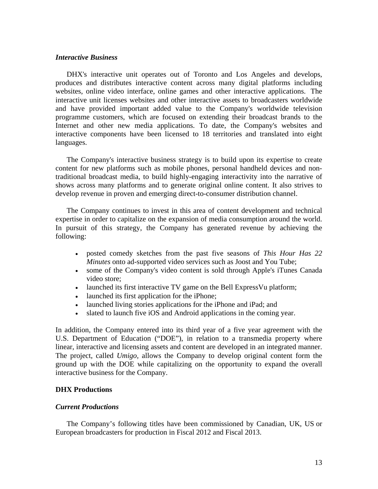#### *Interactive Business*

DHX's interactive unit operates out of Toronto and Los Angeles and develops, produces and distributes interactive content across many digital platforms including websites, online video interface, online games and other interactive applications. The interactive unit licenses websites and other interactive assets to broadcasters worldwide and have provided important added value to the Company's worldwide television programme customers, which are focused on extending their broadcast brands to the Internet and other new media applications. To date, the Company's websites and interactive components have been licensed to 18 territories and translated into eight languages.

The Company's interactive business strategy is to build upon its expertise to create content for new platforms such as mobile phones, personal handheld devices and nontraditional broadcast media, to build highly-engaging interactivity into the narrative of shows across many platforms and to generate original online content. It also strives to develop revenue in proven and emerging direct-to-consumer distribution channel.

The Company continues to invest in this area of content development and technical expertise in order to capitalize on the expansion of media consumption around the world. In pursuit of this strategy, the Company has generated revenue by achieving the following:

- posted comedy sketches from the past five seasons of *This Hour Has 22 Minutes* onto ad-supported video services such as Joost and You Tube;
- some of the Company's video content is sold through Apple's iTunes Canada video store;
- launched its first interactive TV game on the Bell ExpressVu platform;
- launched its first application for the iPhone;
- launched living stories applications for the iPhone and iPad; and
- slated to launch five iOS and Android applications in the coming year.

In addition, the Company entered into its third year of a five year agreement with the U.S. Department of Education ("DOE"), in relation to a transmedia property where linear, interactive and licensing assets and content are developed in an integrated manner. The project, called *Umigo,* allows the Company to develop original content form the ground up with the DOE while capitalizing on the opportunity to expand the overall interactive business for the Company.

#### **DHX Productions**

#### *Current Productions*

The Company's following titles have been commissioned by Canadian, UK, US or European broadcasters for production in Fiscal 2012 and Fiscal 2013.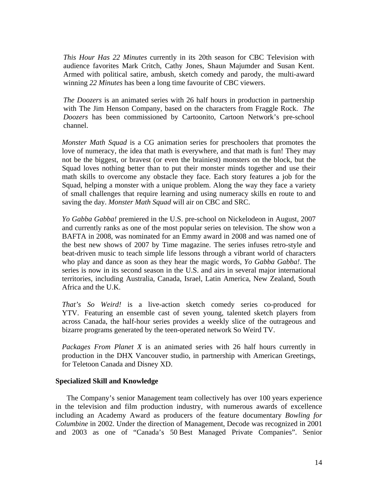*This Hour Has 22 Minutes* currently in its 20th season for CBC Television with audience favorites Mark Critch, Cathy Jones, Shaun Majumder and Susan Kent. Armed with political satire, ambush, sketch comedy and parody, the multi-award winning *22 Minutes* has been a long time favourite of CBC viewers.

*The Doozers* is an animated series with 26 half hours in production in partnership with The Jim Henson Company, based on the characters from Fraggle Rock. *The Doozers* has been commissioned by Cartoonito, Cartoon Network's pre-school channel.

*Monster Math Squad* is a CG animation series for preschoolers that promotes the love of numeracy, the idea that math is everywhere, and that math is fun! They may not be the biggest, or bravest (or even the brainiest) monsters on the block, but the Squad loves nothing better than to put their monster minds together and use their math skills to overcome any obstacle they face. Each story features a job for the Squad, helping a monster with a unique problem. Along the way they face a variety of small challenges that require learning and using numeracy skills en route to and saving the day. *Monster Math Squad* will air on CBC and SRC.

*Yo Gabba Gabba!* premiered in the U.S. pre-school on Nickelodeon in August, 2007 and currently ranks as one of the most popular series on television. The show won a BAFTA in 2008, was nominated for an Emmy award in 2008 and was named one of the best new shows of 2007 by Time magazine. The series infuses retro-style and beat-driven music to teach simple life lessons through a vibrant world of characters who play and dance as soon as they hear the magic words, *Yo Gabba Gabba!*. The series is now in its second season in the U.S. and airs in several major international territories, including Australia, Canada, Israel, Latin America, New Zealand, South Africa and the U.K.

*That's So Weird!* is a live-action sketch comedy series co-produced for YTV. Featuring an ensemble cast of seven young, talented sketch players from across Canada, the half-hour series provides a weekly slice of the outrageous and bizarre programs generated by the teen-operated network So Weird TV.

*Packages From Planet X* is an animated series with 26 half hours currently in production in the DHX Vancouver studio, in partnership with American Greetings, for Teletoon Canada and Disney XD.

#### **Specialized Skill and Knowledge**

The Company's senior Management team collectively has over 100 years experience in the television and film production industry, with numerous awards of excellence including an Academy Award as producers of the feature documentary *Bowling for Columbine* in 2002. Under the direction of Management, Decode was recognized in 2001 and 2003 as one of "Canada's 50 Best Managed Private Companies". Senior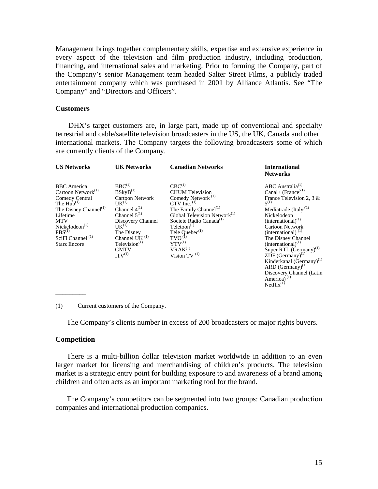Management brings together complementary skills, expertise and extensive experience in every aspect of the television and film production industry, including production, financing, and international sales and marketing. Prior to forming the Company, part of the Company's senior Management team headed Salter Street Films, a publicly traded entertainment company which was purchased in 2001 by Alliance Atlantis. See "The Company" and "Directors and Officers".

#### **Customers**

 DHX's target customers are, in large part, made up of conventional and specialty terrestrial and cable/satellite television broadcasters in the US, the UK, Canada and other international markets. The Company targets the following broadcasters some of which are currently clients of the Company.

| <b>US Networks</b>                                                                                                                                                                                                                                                  | <b>UK Networks</b>                                                                                                                                                                                                                        | <b>Canadian Networks</b>                                                                                                                                                                                                                                                                                                                 | <b>International</b><br><b>Networks</b>                                                                                                                                                                                                                                                                                                                                                                                                                                                    |
|---------------------------------------------------------------------------------------------------------------------------------------------------------------------------------------------------------------------------------------------------------------------|-------------------------------------------------------------------------------------------------------------------------------------------------------------------------------------------------------------------------------------------|------------------------------------------------------------------------------------------------------------------------------------------------------------------------------------------------------------------------------------------------------------------------------------------------------------------------------------------|--------------------------------------------------------------------------------------------------------------------------------------------------------------------------------------------------------------------------------------------------------------------------------------------------------------------------------------------------------------------------------------------------------------------------------------------------------------------------------------------|
| <b>BBC</b> America<br>Cartoon Network <sup>(1)</sup><br>Comedy Central<br>The $Hub^{(1)}$<br>The Disney Channel <sup>(1)</sup><br>Lifetime<br><b>MTV</b><br>Nickelodeon <sup>(1)</sup><br>PBS <sup>(1)</sup><br>SciFi Channel <sup>(1)</sup><br><b>Starz Encore</b> | $BBC^{(1)}$<br>$BSkyB^{(1)}$<br><b>Cartoon Network</b><br>$UK^{(1)}$<br>Channel $4^{(1)}$<br>Channel $5^{(1)}$<br>Discovery Channel<br>$IJK^{(1)}$<br>The Disney<br>Channel UK $^{(1)}$<br>Television $(1)$<br><b>GMTV</b><br>$ITV^{(1)}$ | $CBC^{(1)}$<br><b>CHUM</b> Television<br>Comedy Network <sup>(1)</sup><br>CTV Inc. $(1)$<br>The Family Channel <sup>(1)</sup><br>Global Television Network <sup>(1)</sup><br>Societe Radio Canada <sup>(1)</sup><br>Teletoon $(1)$<br>Tele Quebec <sup>(1)</sup><br>TVO <sup>(1)</sup><br>$YYV^{(1)}$<br>$VRAK^{(1)}$<br>Vision TV $(1)$ | ABC Australia <sup>(1)</sup><br>Canal+ (France) <sup>(1)</sup><br>France Television 2, 3 $\&$<br>$5^{(1)}$<br>Mediatrade (Italy <sup>)(1)</sup><br>Nickelodeon<br>$(international)^{(1)}$<br><b>Cartoon Network</b><br>(international) $^{(1)}$<br>The Disney Channel<br>$(international)^{(1)}$<br>Super RTL $(Germany)^{(1)}$<br>$ZDF$ (Germany) <sup>(1)</sup><br>Kinderkanal (Germany) <sup>(1)</sup><br>ARD (Germany) <sup>(1)</sup><br>Discovery Channel (Latin<br>America) $^{(1)}$ |

(1) Current customers of the Company.

The Company's clients number in excess of 200 broadcasters or major rights buyers.

#### **Competition**

\_\_\_\_\_\_\_\_\_

There is a multi-billion dollar television market worldwide in addition to an even larger market for licensing and merchandising of children's products. The television market is a strategic entry point for building exposure to and awareness of a brand among children and often acts as an important marketing tool for the brand.

The Company's competitors can be segmented into two groups: Canadian production companies and international production companies.

Netflix<sup>(1)</sup>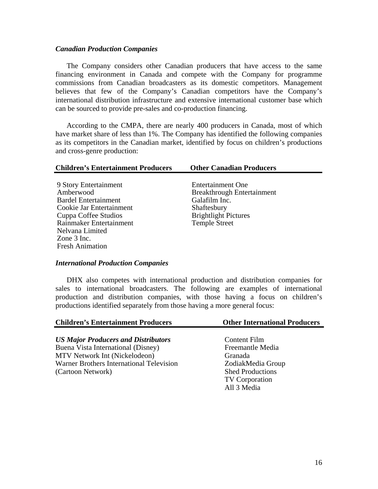#### *Canadian Production Companies*

The Company considers other Canadian producers that have access to the same financing environment in Canada and compete with the Company for programme commissions from Canadian broadcasters as its domestic competitors. Management believes that few of the Company's Canadian competitors have the Company's international distribution infrastructure and extensive international customer base which can be sourced to provide pre-sales and co-production financing.

According to the CMPA, there are nearly 400 producers in Canada, most of which have market share of less than 1%. The Company has identified the following companies as its competitors in the Canadian market, identified by focus on children's productions and cross-genre production:

9 Story Entertainment Amberwood Bardel Entertainment Cookie Jar Entertainment Cuppa Coffee Studios Rainmaker Entertainment Nelvana Limited Zone 3 Inc. Fresh Animation

Entertainment One Breakthrough Entertainment Galafilm Inc. Shaftesbury Brightlight Pictures Temple Street

#### *International Production Companies*

DHX also competes with international production and distribution companies for sales to international broadcasters. The following are examples of international production and distribution companies, with those having a focus on children's productions identified separately from those having a more general focus:

| <b>Children's Entertainment Producers</b>  | <b>Other International Producers</b> |
|--------------------------------------------|--------------------------------------|
|                                            |                                      |
| <b>US Major Producers and Distributors</b> | Content Film                         |
| Buena Vista International (Disney)         | Freemantle Media                     |
| $\blacksquare$                             |                                      |

MTV Network Int (Nickelodeon) Granada Warner Brothers International Television (Cartoon Network)

# ZodiakMedia Group Shed Productions TV Corporation All 3 Media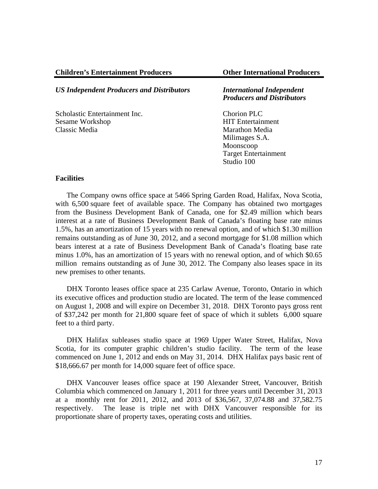#### **Children's Entertainment Producers Other International Producers**

*US Independent Producers and Distributors International Independent* 

Scholastic Entertainment Inc. Chorion PLC Sesame Workshop HIT Entertainment<br>
Classic Media Marathon Media

# *Producers and Distributors*

Marathon Media Milimages S.A. Moonscoop Target Entertainment Studio 100

#### **Facilities**

The Company owns office space at 5466 Spring Garden Road, Halifax, Nova Scotia, with 6,500 square feet of available space. The Company has obtained two mortgages from the Business Development Bank of Canada, one for \$2.49 million which bears interest at a rate of Business Development Bank of Canada's floating base rate minus 1.5%, has an amortization of 15 years with no renewal option, and of which \$1.30 million remains outstanding as of June 30, 2012, and a second mortgage for \$1.08 million which bears interest at a rate of Business Development Bank of Canada's floating base rate minus 1.0%, has an amortization of 15 years with no renewal option, and of which \$0.65 million remains outstanding as of June 30, 2012. The Company also leases space in its new premises to other tenants.

DHX Toronto leases office space at 235 Carlaw Avenue, Toronto, Ontario in which its executive offices and production studio are located. The term of the lease commenced on August 1, 2008 and will expire on December 31, 2018. DHX Toronto pays gross rent of \$37,242 per month for 21,800 square feet of space of which it sublets 6,000 square feet to a third party.

DHX Halifax subleases studio space at 1969 Upper Water Street, Halifax, Nova Scotia, for its computer graphic children's studio facility. The term of the lease commenced on June 1, 2012 and ends on May 31, 2014. DHX Halifax pays basic rent of \$18,666.67 per month for 14,000 square feet of office space.

DHX Vancouver leases office space at 190 Alexander Street, Vancouver, British Columbia which commenced on January 1, 2011 for three years until December 31, 2013 at a monthly rent for 2011, 2012, and 2013 of \$36,567, 37,074.88 and 37,582.75 respectively. The lease is triple net with DHX Vancouver responsible for its proportionate share of property taxes, operating costs and utilities.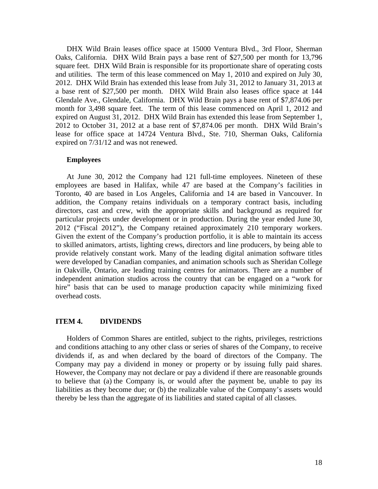DHX Wild Brain leases office space at 15000 Ventura Blvd., 3rd Floor, Sherman Oaks, California. DHX Wild Brain pays a base rent of \$27,500 per month for 13,796 square feet. DHX Wild Brain is responsible for its proportionate share of operating costs and utilities. The term of this lease commenced on May 1, 2010 and expired on July 30, 2012. DHX Wild Brain has extended this lease from July 31, 2012 to January 31, 2013 at a base rent of \$27,500 per month. DHX Wild Brain also leases office space at 144 Glendale Ave., Glendale, California. DHX Wild Brain pays a base rent of \$7,874.06 per month for 3,498 square feet. The term of this lease commenced on April 1, 2012 and expired on August 31, 2012. DHX Wild Brain has extended this lease from September 1, 2012 to October 31, 2012 at a base rent of \$7,874.06 per month. DHX Wild Brain's lease for office space at 14724 Ventura Blvd., Ste. 710, Sherman Oaks, California expired on 7/31/12 and was not renewed.

#### **Employees**

At June 30, 2012 the Company had 121 full-time employees. Nineteen of these employees are based in Halifax, while 47 are based at the Company's facilities in Toronto, 40 are based in Los Angeles, California and 14 are based in Vancouver. In addition, the Company retains individuals on a temporary contract basis, including directors, cast and crew, with the appropriate skills and background as required for particular projects under development or in production. During the year ended June 30, 2012 ("Fiscal 2012"), the Company retained approximately 210 temporary workers. Given the extent of the Company's production portfolio, it is able to maintain its access to skilled animators, artists, lighting crews, directors and line producers, by being able to provide relatively constant work. Many of the leading digital animation software titles were developed by Canadian companies, and animation schools such as Sheridan College in Oakville, Ontario, are leading training centres for animators. There are a number of independent animation studios across the country that can be engaged on a "work for hire" basis that can be used to manage production capacity while minimizing fixed overhead costs.

#### **ITEM 4. DIVIDENDS**

Holders of Common Shares are entitled, subject to the rights, privileges, restrictions and conditions attaching to any other class or series of shares of the Company, to receive dividends if, as and when declared by the board of directors of the Company. The Company may pay a dividend in money or property or by issuing fully paid shares. However, the Company may not declare or pay a dividend if there are reasonable grounds to believe that (a) the Company is, or would after the payment be, unable to pay its liabilities as they become due; or (b) the realizable value of the Company's assets would thereby be less than the aggregate of its liabilities and stated capital of all classes.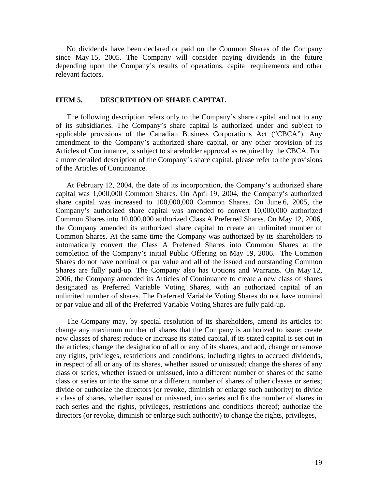No dividends have been declared or paid on the Common Shares of the Company since May 15, 2005. The Company will consider paying dividends in the future depending upon the Company's results of operations, capital requirements and other relevant factors.

#### **ITEM 5. DESCRIPTION OF SHARE CAPITAL**

The following description refers only to the Company's share capital and not to any of its subsidiaries. The Company's share capital is authorized under and subject to applicable provisions of the Canadian Business Corporations Act ("CBCA"). Any amendment to the Company's authorized share capital, or any other provision of its Articles of Continuance, is subject to shareholder approval as required by the CBCA. For a more detailed description of the Company's share capital, please refer to the provisions of the Articles of Continuance.

At February 12, 2004, the date of its incorporation, the Company's authorized share capital was 1,000,000 Common Shares. On April 19, 2004, the Company's authorized share capital was increased to 100,000,000 Common Shares. On June 6, 2005, the Company's authorized share capital was amended to convert 10,000,000 authorized Common Shares into 10,000,000 authorized Class A Preferred Shares. On May 12, 2006, the Company amended its authorized share capital to create an unlimited number of Common Shares. At the same time the Company was authorized by its shareholders to automatically convert the Class A Preferred Shares into Common Shares at the completion of the Company's initial Public Offering on May 19, 2006. The Common Shares do not have nominal or par value and all of the issued and outstanding Common Shares are fully paid-up. The Company also has Options and Warrants. On May 12, 2006, the Company amended its Articles of Continuance to create a new class of shares designated as Preferred Variable Voting Shares, with an authorized capital of an unlimited number of shares. The Preferred Variable Voting Shares do not have nominal or par value and all of the Preferred Variable Voting Shares are fully paid-up.

The Company may, by special resolution of its shareholders, amend its articles to: change any maximum number of shares that the Company is authorized to issue; create new classes of shares; reduce or increase its stated capital, if its stated capital is set out in the articles; change the designation of all or any of its shares, and add, change or remove any rights, privileges, restrictions and conditions, including rights to accrued dividends, in respect of all or any of its shares, whether issued or unissued; change the shares of any class or series, whether issued or unissued, into a different number of shares of the same class or series or into the same or a different number of shares of other classes or series; divide or authorize the directors (or revoke, diminish or enlarge such authority) to divide a class of shares, whether issued or unissued, into series and fix the number of shares in each series and the rights, privileges, restrictions and conditions thereof; authorize the directors (or revoke, diminish or enlarge such authority) to change the rights, privileges,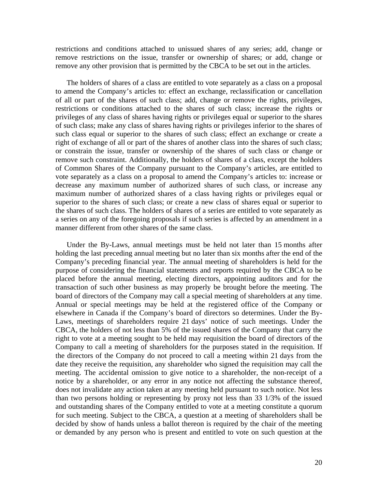restrictions and conditions attached to unissued shares of any series; add, change or remove restrictions on the issue, transfer or ownership of shares; or add, change or remove any other provision that is permitted by the CBCA to be set out in the articles.

The holders of shares of a class are entitled to vote separately as a class on a proposal to amend the Company's articles to: effect an exchange, reclassification or cancellation of all or part of the shares of such class; add, change or remove the rights, privileges, restrictions or conditions attached to the shares of such class; increase the rights or privileges of any class of shares having rights or privileges equal or superior to the shares of such class; make any class of shares having rights or privileges inferior to the shares of such class equal or superior to the shares of such class; effect an exchange or create a right of exchange of all or part of the shares of another class into the shares of such class; or constrain the issue, transfer or ownership of the shares of such class or change or remove such constraint. Additionally, the holders of shares of a class, except the holders of Common Shares of the Company pursuant to the Company's articles, are entitled to vote separately as a class on a proposal to amend the Company's articles to: increase or decrease any maximum number of authorized shares of such class, or increase any maximum number of authorized shares of a class having rights or privileges equal or superior to the shares of such class; or create a new class of shares equal or superior to the shares of such class. The holders of shares of a series are entitled to vote separately as a series on any of the foregoing proposals if such series is affected by an amendment in a manner different from other shares of the same class.

Under the By-Laws, annual meetings must be held not later than 15 months after holding the last preceding annual meeting but no later than six months after the end of the Company's preceding financial year. The annual meeting of shareholders is held for the purpose of considering the financial statements and reports required by the CBCA to be placed before the annual meeting, electing directors, appointing auditors and for the transaction of such other business as may properly be brought before the meeting. The board of directors of the Company may call a special meeting of shareholders at any time. Annual or special meetings may be held at the registered office of the Company or elsewhere in Canada if the Company's board of directors so determines. Under the By-Laws, meetings of shareholders require 21 days' notice of such meetings. Under the CBCA, the holders of not less than 5% of the issued shares of the Company that carry the right to vote at a meeting sought to be held may requisition the board of directors of the Company to call a meeting of shareholders for the purposes stated in the requisition. If the directors of the Company do not proceed to call a meeting within 21 days from the date they receive the requisition, any shareholder who signed the requisition may call the meeting. The accidental omission to give notice to a shareholder, the non-receipt of a notice by a shareholder, or any error in any notice not affecting the substance thereof, does not invalidate any action taken at any meeting held pursuant to such notice. Not less than two persons holding or representing by proxy not less than 33 1/3% of the issued and outstanding shares of the Company entitled to vote at a meeting constitute a quorum for such meeting. Subject to the CBCA, a question at a meeting of shareholders shall be decided by show of hands unless a ballot thereon is required by the chair of the meeting or demanded by any person who is present and entitled to vote on such question at the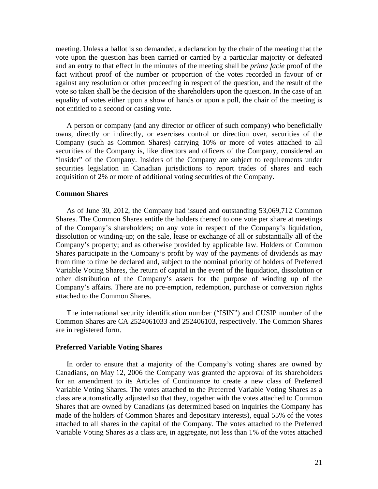meeting. Unless a ballot is so demanded, a declaration by the chair of the meeting that the vote upon the question has been carried or carried by a particular majority or defeated and an entry to that effect in the minutes of the meeting shall be *prima facie* proof of the fact without proof of the number or proportion of the votes recorded in favour of or against any resolution or other proceeding in respect of the question, and the result of the vote so taken shall be the decision of the shareholders upon the question. In the case of an equality of votes either upon a show of hands or upon a poll, the chair of the meeting is not entitled to a second or casting vote.

A person or company (and any director or officer of such company) who beneficially owns, directly or indirectly, or exercises control or direction over, securities of the Company (such as Common Shares) carrying 10% or more of votes attached to all securities of the Company is, like directors and officers of the Company, considered an "insider" of the Company. Insiders of the Company are subject to requirements under securities legislation in Canadian jurisdictions to report trades of shares and each acquisition of 2% or more of additional voting securities of the Company.

#### **Common Shares**

As of June 30, 2012, the Company had issued and outstanding 53,069,712 Common Shares. The Common Shares entitle the holders thereof to one vote per share at meetings of the Company's shareholders; on any vote in respect of the Company's liquidation, dissolution or winding-up; on the sale, lease or exchange of all or substantially all of the Company's property; and as otherwise provided by applicable law. Holders of Common Shares participate in the Company's profit by way of the payments of dividends as may from time to time be declared and, subject to the nominal priority of holders of Preferred Variable Voting Shares, the return of capital in the event of the liquidation, dissolution or other distribution of the Company's assets for the purpose of winding up of the Company's affairs. There are no pre-emption, redemption, purchase or conversion rights attached to the Common Shares.

The international security identification number ("ISIN") and CUSIP number of the Common Shares are CA 2524061033 and 252406103, respectively. The Common Shares are in registered form.

#### **Preferred Variable Voting Shares**

In order to ensure that a majority of the Company's voting shares are owned by Canadians, on May 12, 2006 the Company was granted the approval of its shareholders for an amendment to its Articles of Continuance to create a new class of Preferred Variable Voting Shares. The votes attached to the Preferred Variable Voting Shares as a class are automatically adjusted so that they, together with the votes attached to Common Shares that are owned by Canadians (as determined based on inquiries the Company has made of the holders of Common Shares and depositary interests), equal 55% of the votes attached to all shares in the capital of the Company. The votes attached to the Preferred Variable Voting Shares as a class are, in aggregate, not less than 1% of the votes attached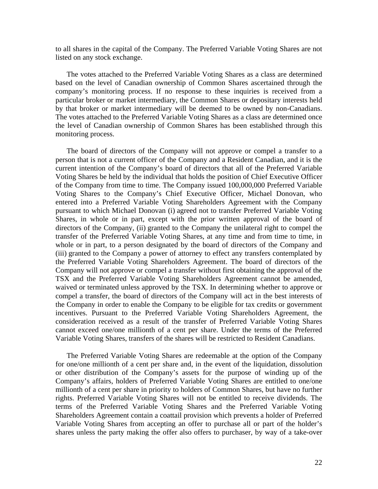to all shares in the capital of the Company. The Preferred Variable Voting Shares are not listed on any stock exchange.

The votes attached to the Preferred Variable Voting Shares as a class are determined based on the level of Canadian ownership of Common Shares ascertained through the company's monitoring process. If no response to these inquiries is received from a particular broker or market intermediary, the Common Shares or depositary interests held by that broker or market intermediary will be deemed to be owned by non-Canadians. The votes attached to the Preferred Variable Voting Shares as a class are determined once the level of Canadian ownership of Common Shares has been established through this monitoring process.

The board of directors of the Company will not approve or compel a transfer to a person that is not a current officer of the Company and a Resident Canadian, and it is the current intention of the Company's board of directors that all of the Preferred Variable Voting Shares be held by the individual that holds the position of Chief Executive Officer of the Company from time to time. The Company issued 100,000,000 Preferred Variable Voting Shares to the Company's Chief Executive Officer, Michael Donovan, who entered into a Preferred Variable Voting Shareholders Agreement with the Company pursuant to which Michael Donovan (i) agreed not to transfer Preferred Variable Voting Shares, in whole or in part, except with the prior written approval of the board of directors of the Company, (ii) granted to the Company the unilateral right to compel the transfer of the Preferred Variable Voting Shares, at any time and from time to time, in whole or in part, to a person designated by the board of directors of the Company and (iii) granted to the Company a power of attorney to effect any transfers contemplated by the Preferred Variable Voting Shareholders Agreement. The board of directors of the Company will not approve or compel a transfer without first obtaining the approval of the TSX and the Preferred Variable Voting Shareholders Agreement cannot be amended, waived or terminated unless approved by the TSX. In determining whether to approve or compel a transfer, the board of directors of the Company will act in the best interests of the Company in order to enable the Company to be eligible for tax credits or government incentives. Pursuant to the Preferred Variable Voting Shareholders Agreement, the consideration received as a result of the transfer of Preferred Variable Voting Shares cannot exceed one/one millionth of a cent per share. Under the terms of the Preferred Variable Voting Shares, transfers of the shares will be restricted to Resident Canadians.

The Preferred Variable Voting Shares are redeemable at the option of the Company for one/one millionth of a cent per share and, in the event of the liquidation, dissolution or other distribution of the Company's assets for the purpose of winding up of the Company's affairs, holders of Preferred Variable Voting Shares are entitled to one/one millionth of a cent per share in priority to holders of Common Shares, but have no further rights. Preferred Variable Voting Shares will not be entitled to receive dividends. The terms of the Preferred Variable Voting Shares and the Preferred Variable Voting Shareholders Agreement contain a coattail provision which prevents a holder of Preferred Variable Voting Shares from accepting an offer to purchase all or part of the holder's shares unless the party making the offer also offers to purchaser, by way of a take-over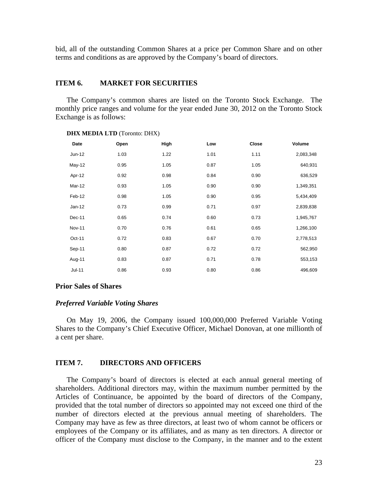bid, all of the outstanding Common Shares at a price per Common Share and on other terms and conditions as are approved by the Company's board of directors.

#### **ITEM 6. MARKET FOR SECURITIES**

The Company's common shares are listed on the Toronto Stock Exchange. The monthly price ranges and volume for the year ended June 30, 2012 on the Toronto Stock Exchange is as follows:

| Date          | Open | High | Low  | <b>Close</b> | Volume    |
|---------------|------|------|------|--------------|-----------|
| Jun-12        | 1.03 | 1.22 | 1.01 | 1.11         | 2,083,348 |
| $May-12$      | 0.95 | 1.05 | 0.87 | 1.05         | 640,931   |
| Apr-12        | 0.92 | 0.98 | 0.84 | 0.90         | 636,529   |
| Mar-12        | 0.93 | 1.05 | 0.90 | 0.90         | 1,349,351 |
| Feb-12        | 0.98 | 1.05 | 0.90 | 0.95         | 5,434,409 |
| Jan-12        | 0.73 | 0.99 | 0.71 | 0.97         | 2,839,838 |
| Dec-11        | 0.65 | 0.74 | 0.60 | 0.73         | 1,945,767 |
| <b>Nov-11</b> | 0.70 | 0.76 | 0.61 | 0.65         | 1,266,100 |
| Oct-11        | 0.72 | 0.83 | 0.67 | 0.70         | 2,778,513 |
| Sep-11        | 0.80 | 0.87 | 0.72 | 0.72         | 562,950   |
| Aug-11        | 0.83 | 0.87 | 0.71 | 0.78         | 553,153   |
| <b>Jul-11</b> | 0.86 | 0.93 | 0.80 | 0.86         | 496,609   |

#### **DHX MEDIA LTD** (Toronto: DHX)

#### **Prior Sales of Shares**

#### *Preferred Variable Voting Shares*

On May 19, 2006, the Company issued 100,000,000 Preferred Variable Voting Shares to the Company's Chief Executive Officer, Michael Donovan, at one millionth of a cent per share.

#### **ITEM 7. DIRECTORS AND OFFICERS**

The Company's board of directors is elected at each annual general meeting of shareholders. Additional directors may, within the maximum number permitted by the Articles of Continuance, be appointed by the board of directors of the Company, provided that the total number of directors so appointed may not exceed one third of the number of directors elected at the previous annual meeting of shareholders. The Company may have as few as three directors, at least two of whom cannot be officers or employees of the Company or its affiliates, and as many as ten directors. A director or officer of the Company must disclose to the Company, in the manner and to the extent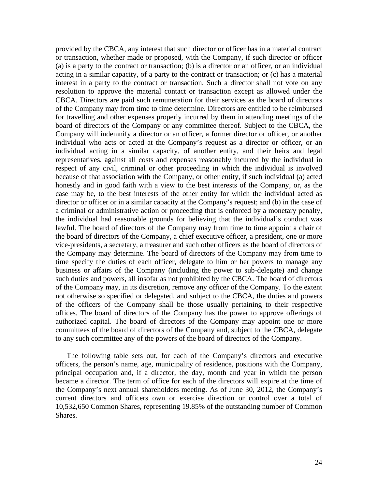provided by the CBCA, any interest that such director or officer has in a material contract or transaction, whether made or proposed, with the Company, if such director or officer (a) is a party to the contract or transaction; (b) is a director or an officer, or an individual acting in a similar capacity, of a party to the contract or transaction; or (c) has a material interest in a party to the contract or transaction. Such a director shall not vote on any resolution to approve the material contact or transaction except as allowed under the CBCA. Directors are paid such remuneration for their services as the board of directors of the Company may from time to time determine. Directors are entitled to be reimbursed for travelling and other expenses properly incurred by them in attending meetings of the board of directors of the Company or any committee thereof. Subject to the CBCA, the Company will indemnify a director or an officer, a former director or officer, or another individual who acts or acted at the Company's request as a director or officer, or an individual acting in a similar capacity, of another entity, and their heirs and legal representatives, against all costs and expenses reasonably incurred by the individual in respect of any civil, criminal or other proceeding in which the individual is involved because of that association with the Company, or other entity, if such individual (a) acted honestly and in good faith with a view to the best interests of the Company, or, as the case may be, to the best interests of the other entity for which the individual acted as director or officer or in a similar capacity at the Company's request; and (b) in the case of a criminal or administrative action or proceeding that is enforced by a monetary penalty, the individual had reasonable grounds for believing that the individual's conduct was lawful. The board of directors of the Company may from time to time appoint a chair of the board of directors of the Company, a chief executive officer, a president, one or more vice-presidents, a secretary, a treasurer and such other officers as the board of directors of the Company may determine. The board of directors of the Company may from time to time specify the duties of each officer, delegate to him or her powers to manage any business or affairs of the Company (including the power to sub-delegate) and change such duties and powers, all insofar as not prohibited by the CBCA. The board of directors of the Company may, in its discretion, remove any officer of the Company. To the extent not otherwise so specified or delegated, and subject to the CBCA, the duties and powers of the officers of the Company shall be those usually pertaining to their respective offices. The board of directors of the Company has the power to approve offerings of authorized capital. The board of directors of the Company may appoint one or more committees of the board of directors of the Company and, subject to the CBCA, delegate to any such committee any of the powers of the board of directors of the Company.

The following table sets out, for each of the Company's directors and executive officers, the person's name, age, municipality of residence, positions with the Company, principal occupation and, if a director, the day, month and year in which the person became a director. The term of office for each of the directors will expire at the time of the Company's next annual shareholders meeting. As of June 30, 2012, the Company's current directors and officers own or exercise direction or control over a total of 10,532,650 Common Shares, representing 19.85% of the outstanding number of Common Shares.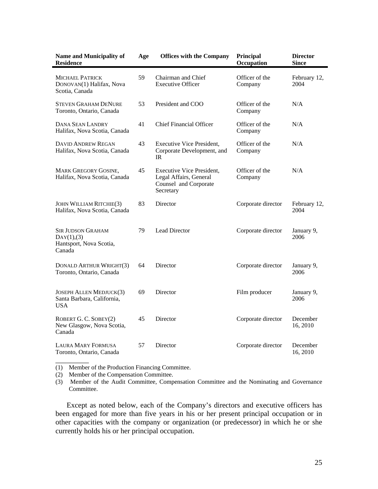| Name and Municipality of<br><b>Residence</b>                                 | Age | <b>Offices with the Company</b>                                                                  | Principal<br>Occupation   | <b>Director</b><br><b>Since</b> |
|------------------------------------------------------------------------------|-----|--------------------------------------------------------------------------------------------------|---------------------------|---------------------------------|
| <b>MICHAEL PATRICK</b><br>DONOVAN(1) Halifax, Nova<br>Scotia, Canada         | 59  | Chairman and Chief<br><b>Executive Officer</b>                                                   | Officer of the<br>Company | February 12,<br>2004            |
| <b>STEVEN GRAHAM DENURE</b><br>Toronto, Ontario, Canada                      | 53  | President and COO                                                                                | Officer of the<br>Company | N/A                             |
| <b>DANA SEAN LANDRY</b><br>Halifax, Nova Scotia, Canada                      | 41  | <b>Chief Financial Officer</b>                                                                   | Officer of the<br>Company | N/A                             |
| <b>DAVID ANDREW REGAN</b><br>Halifax, Nova Scotia, Canada                    | 43  | <b>Executive Vice President,</b><br>Corporate Development, and<br>IR.                            | Officer of the<br>Company | N/A                             |
| <b>MARK GREGORY GOSINE,</b><br>Halifax, Nova Scotia, Canada                  | 45  | <b>Executive Vice President,</b><br>Legal Affairs, General<br>Counsel and Corporate<br>Secretary | Officer of the<br>Company | N/A                             |
| JOHN WILLIAM RITCHIE(3)<br>Halifax, Nova Scotia, Canada                      | 83  | Director                                                                                         | Corporate director        | February 12,<br>2004            |
| <b>SIR JUDSON GRAHAM</b><br>DAY(1), (3)<br>Hantsport, Nova Scotia,<br>Canada | 79  | <b>Lead Director</b>                                                                             | Corporate director        | January 9,<br>2006              |
| <b>DONALD ARTHUR WRIGHT(3)</b><br>Toronto, Ontario, Canada                   | 64  | Director                                                                                         | Corporate director        | January 9,<br>2006              |
| JOSEPH ALLEN MEDJUCK(3)<br>Santa Barbara, California,<br><b>USA</b>          | 69  | Director                                                                                         | Film producer             | January 9,<br>2006              |
| ROBERT G. C. SOBEY(2)<br>New Glasgow, Nova Scotia,<br>Canada                 | 45  | Director                                                                                         | Corporate director        | December<br>16, 2010            |
| <b>LAURA MARY FORMUSA</b><br>Toronto, Ontario, Canada                        | 57  | Director                                                                                         | Corporate director        | December<br>16, 2010            |

(1) Member of the Production Financing Committee.

(2) Member of the Compensation Committee.

\_\_\_\_\_\_\_\_\_

(3) Member of the Audit Committee, Compensation Committee and the Nominating and Governance Committee.

Except as noted below, each of the Company's directors and executive officers has been engaged for more than five years in his or her present principal occupation or in other capacities with the company or organization (or predecessor) in which he or she currently holds his or her principal occupation.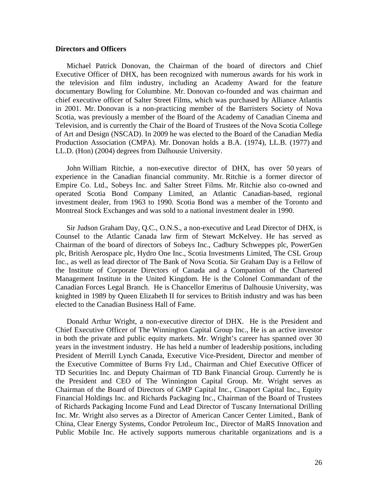#### **Directors and Officers**

Michael Patrick Donovan, the Chairman of the board of directors and Chief Executive Officer of DHX, has been recognized with numerous awards for his work in the television and film industry, including an Academy Award for the feature documentary Bowling for Columbine. Mr. Donovan co-founded and was chairman and chief executive officer of Salter Street Films, which was purchased by Alliance Atlantis in 2001. Mr. Donovan is a non-practicing member of the Barristers Society of Nova Scotia, was previously a member of the Board of the Academy of Canadian Cinema and Television, and is currently the Chair of the Board of Trustees of the Nova Scotia College of Art and Design (NSCAD). In 2009 he was elected to the Board of the Canadian Media Production Association (CMPA). Mr. Donovan holds a B.A. (1974), LL.B. (1977) and LL.D. (Hon) (2004) degrees from Dalhousie University.

John William Ritchie, a non-executive director of DHX, has over 50 years of experience in the Canadian financial community. Mr. Ritchie is a former director of Empire Co. Ltd., Sobeys Inc. and Salter Street Films. Mr. Ritchie also co-owned and operated Scotia Bond Company Limited, an Atlantic Canadian-based, regional investment dealer, from 1963 to 1990. Scotia Bond was a member of the Toronto and Montreal Stock Exchanges and was sold to a national investment dealer in 1990.

Sir Judson Graham Day, Q.C., O.N.S., a non-executive and Lead Director of DHX, is Counsel to the Atlantic Canada law firm of Stewart McKelvey. He has served as Chairman of the board of directors of Sobeys Inc., Cadbury Schweppes plc, PowerGen plc, British Aerospace plc, Hydro One Inc., Scotia Investments Limited, The CSL Group Inc., as well as lead director of The Bank of Nova Scotia. Sir Graham Day is a Fellow of the Institute of Corporate Directors of Canada and a Companion of the Chartered Management Institute in the United Kingdom. He is the Colonel Commandant of the Canadian Forces Legal Branch. He is Chancellor Emeritus of Dalhousie University, was knighted in 1989 by Queen Elizabeth II for services to British industry and was has been elected to the Canadian Business Hall of Fame.

Donald Arthur Wright, a non-executive director of DHX. He is the President and Chief Executive Officer of The Winnington Capital Group Inc., He is an active investor in both the private and public equity markets. Mr. Wright's career has spanned over 30 years in the investment industry. He has held a number of leadership positions, including President of Merrill Lynch Canada, Executive Vice-President, Director and member of the Executive Committee of Burns Fry Ltd., Chairman and Chief Executive Officer of TD Securities Inc. and Deputy Chairman of TD Bank Financial Group. Currently he is the President and CEO of The Winnington Capital Group. Mr. Wright serves as Chairman of the Board of Directors of GMP Capital Inc., Cinaport Capital Inc., Equity Financial Holdings Inc. and Richards Packaging Inc., Chairman of the Board of Trustees of Richards Packaging Income Fund and Lead Director of Tuscany International Drilling Inc. Mr. Wright also serves as a Director of American Cancer Center Limited., Bank of China, Clear Energy Systems, Condor Petroleum Inc., Director of MaRS Innovation and Public Mobile Inc. He actively supports numerous charitable organizations and is a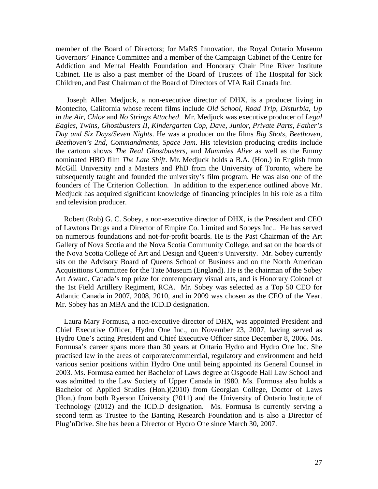member of the Board of Directors; for MaRS Innovation, the Royal Ontario Museum Governors' Finance Committee and a member of the Campaign Cabinet of the Centre for Addiction and Mental Health Foundation and Honorary Chair Pine River Institute Cabinet. He is also a past member of the Board of Trustees of The Hospital for Sick Children, and Past Chairman of the Board of Directors of VIA Rail Canada Inc.

Joseph Allen Medjuck, a non-executive director of DHX, is a producer living in Montecito, California whose recent films include *Old School, Road Trip, Disturbia*, *Up in the Air, Chloe* and *No Strings Attached*. Mr. Medjuck was executive producer of *Legal Eagles, Twins, Ghostbusters II, Kindergarten Cop, Dave, Junior, Private Parts, Father's Day and Six Days/Seven Nights*. He was a producer on the films *Big Shots, Beethoven, Beethoven's 2nd, Commandments, Space Jam*. His television producing credits include the cartoon shows *The Real Ghostbusters,* and *Mummies Alive* as well as the Emmy nominated HBO film *The Late Shift*. Mr. Medjuck holds a B.A. (Hon.) in English from McGill University and a Masters and PhD from the University of Toronto, where he subsequently taught and founded the university's film program. He was also one of the founders of The Criterion Collection. In addition to the experience outlined above Mr. Medjuck has acquired significant knowledge of financing principles in his role as a film and television producer.

Robert (Rob) G. C. Sobey, a non-executive director of DHX, is the President and CEO of Lawtons Drugs and a Director of Empire Co. Limited and Sobeys Inc.. He has served on numerous foundations and not-for-profit boards. He is the Past Chairman of the Art Gallery of Nova Scotia and the Nova Scotia Community College, and sat on the boards of the Nova Scotia College of Art and Design and Queen's University. Mr. Sobey currently sits on the Advisory Board of Queens School of Business and on the North American Acquisitions Committee for the Tate Museum (England). He is the chairman of the Sobey Art Award, Canada's top prize for contemporary visual arts, and is Honorary Colonel of the 1st Field Artillery Regiment, RCA. Mr. Sobey was selected as a Top 50 CEO for Atlantic Canada in 2007, 2008, 2010, and in 2009 was chosen as the CEO of the Year. Mr. Sobey has an MBA and the ICD.D designation.

Laura Mary Formusa, a non-executive director of DHX, was appointed President and Chief Executive Officer, Hydro One Inc., on November 23, 2007, having served as Hydro One's acting President and Chief Executive Officer since December 8, 2006. Ms. Formusa's career spans more than 30 years at Ontario Hydro and Hydro One Inc. She practised law in the areas of corporate/commercial, regulatory and environment and held various senior positions within Hydro One until being appointed its General Counsel in 2003. Ms. Formusa earned her Bachelor of Laws degree at Osgoode Hall Law School and was admitted to the Law Society of Upper Canada in 1980. Ms. Formusa also holds a Bachelor of Applied Studies (Hon.)(2010) from Georgian College, Doctor of Laws (Hon.) from both Ryerson University (2011) and the University of Ontario Institute of Technology (2012) and the ICD.D designation. Ms. Formusa is currently serving a second term as Trustee to the Banting Research Foundation and is also a Director of Plug'nDrive. She has been a Director of Hydro One since March 30, 2007.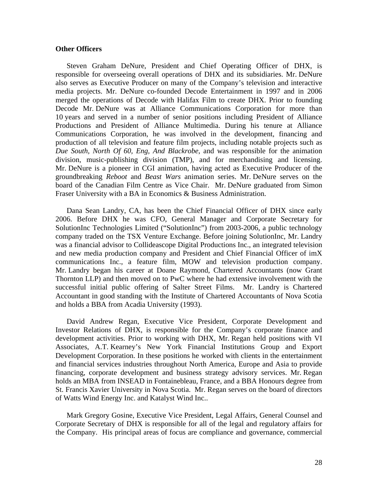#### **Other Officers**

Steven Graham DeNure, President and Chief Operating Officer of DHX, is responsible for overseeing overall operations of DHX and its subsidiaries. Mr. DeNure also serves as Executive Producer on many of the Company's television and interactive media projects. Mr. DeNure co-founded Decode Entertainment in 1997 and in 2006 merged the operations of Decode with Halifax Film to create DHX. Prior to founding Decode Mr. DeNure was at Alliance Communications Corporation for more than 10 years and served in a number of senior positions including President of Alliance Productions and President of Alliance Multimedia. During his tenure at Alliance Communications Corporation, he was involved in the development, financing and production of all television and feature film projects, including notable projects such as *Due South, North Of 60, Eng, And Blackrobe*, and was responsible for the animation division, music-publishing division (TMP), and for merchandising and licensing. Mr. DeNure is a pioneer in CGI animation, having acted as Executive Producer of the groundbreaking *Reboot* and *Beast Wars* animation series. Mr. DeNure serves on the board of the Canadian Film Centre as Vice Chair. Mr. DeNure graduated from Simon Fraser University with a BA in Economics & Business Administration.

Dana Sean Landry, CA, has been the Chief Financial Officer of DHX since early 2006. Before DHX he was CFO, General Manager and Corporate Secretary for SolutionInc Technologies Limited ("SolutionInc") from 2003-2006, a public technology company traded on the TSX Venture Exchange. Before joining SolutionInc, Mr. Landry was a financial advisor to Collideascope Digital Productions Inc., an integrated television and new media production company and President and Chief Financial Officer of imX communications Inc., a feature film, MOW and television production company. Mr. Landry began his career at Doane Raymond, Chartered Accountants (now Grant Thornton LLP) and then moved on to PwC where he had extensive involvement with the successful initial public offering of Salter Street Films. Mr. Landry is Chartered Accountant in good standing with the Institute of Chartered Accountants of Nova Scotia and holds a BBA from Acadia University (1993).

David Andrew Regan, Executive Vice President, Corporate Development and Investor Relations of DHX, is responsible for the Company's corporate finance and development activities. Prior to working with DHX, Mr. Regan held positions with VI Associates, A.T. Kearney's New York Financial Institutions Group and Export Development Corporation. In these positions he worked with clients in the entertainment and financial services industries throughout North America, Europe and Asia to provide financing, corporate development and business strategy advisory services. Mr. Regan holds an MBA from INSEAD in Fontainebleau, France, and a BBA Honours degree from St. Francis Xavier University in Nova Scotia. Mr. Regan serves on the board of directors of Watts Wind Energy Inc. and Katalyst Wind Inc..

Mark Gregory Gosine, Executive Vice President, Legal Affairs, General Counsel and Corporate Secretary of DHX is responsible for all of the legal and regulatory affairs for the Company. His principal areas of focus are compliance and governance, commercial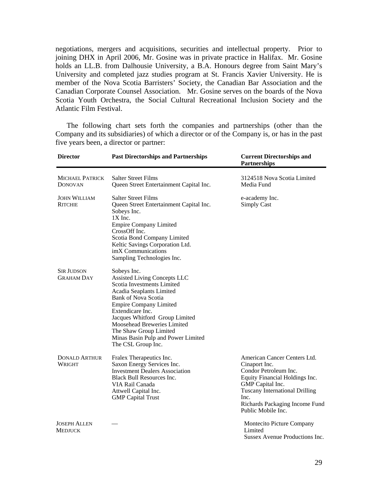negotiations, mergers and acquisitions, securities and intellectual property. Prior to joining DHX in April 2006, Mr. Gosine was in private practice in Halifax. Mr. Gosine holds an LL.B. from Dalhousie University, a B.A. Honours degree from Saint Mary's University and completed jazz studies program at St. Francis Xavier University. He is member of the Nova Scotia Barristers' Society, the Canadian Bar Association and the Canadian Corporate Counsel Association. Mr. Gosine serves on the boards of the Nova Scotia Youth Orchestra, the Social Cultural Recreational Inclusion Society and the Atlantic Film Festival.

The following chart sets forth the companies and partnerships (other than the Company and its subsidiaries) of which a director or of the Company is, or has in the past five years been, a director or partner:

| <b>Director</b>                        | <b>Past Directorships and Partnerships</b>                                                                                                                                                                                                                                                                                                             | <b>Current Directorships and</b><br><b>Partnerships</b>                                                                                                                                                                               |
|----------------------------------------|--------------------------------------------------------------------------------------------------------------------------------------------------------------------------------------------------------------------------------------------------------------------------------------------------------------------------------------------------------|---------------------------------------------------------------------------------------------------------------------------------------------------------------------------------------------------------------------------------------|
| MICHAEL PATRICK<br><b>DONOVAN</b>      | <b>Salter Street Films</b><br>Queen Street Entertainment Capital Inc.                                                                                                                                                                                                                                                                                  | 3124518 Nova Scotia Limited<br>Media Fund                                                                                                                                                                                             |
| <b>JOHN WILLIAM</b><br><b>RITCHIE</b>  | <b>Salter Street Films</b><br>Queen Street Entertainment Capital Inc.<br>Sobeys Inc.<br>$1X$ Inc.<br><b>Empire Company Limited</b><br>CrossOff Inc.<br>Scotia Bond Company Limited<br>Keltic Savings Corporation Ltd.<br>imX Communications<br>Sampling Technologies Inc.                                                                              | e-academy Inc.<br><b>Simply Cast</b>                                                                                                                                                                                                  |
| <b>SIR JUDSON</b><br><b>GRAHAM DAY</b> | Sobeys Inc.<br><b>Assisted Living Concepts LLC</b><br>Scotia Investments Limited<br>Acadia Seaplants Limited<br><b>Bank of Nova Scotia</b><br><b>Empire Company Limited</b><br>Extendicare Inc.<br>Jacques Whitford Group Limited<br>Moosehead Breweries Limited<br>The Shaw Group Limited<br>Minas Basin Pulp and Power Limited<br>The CSL Group Inc. |                                                                                                                                                                                                                                       |
| <b>DONALD ARTHUR</b><br>WRIGHT         | Fralex Therapeutics Inc.<br>Saxon Energy Services Inc.<br><b>Investment Dealers Association</b><br><b>Black Bull Resources Inc.</b><br>VIA Rail Canada<br>Attwell Capital Inc.<br><b>GMP</b> Capital Trust                                                                                                                                             | American Cancer Centers Ltd.<br>Cinaport Inc.<br>Condor Petroleum Inc.<br>Equity Financial Holdings Inc.<br>GMP Capital Inc.<br><b>Tuscany International Drilling</b><br>Inc.<br>Richards Packaging Income Fund<br>Public Mobile Inc. |
| JOSEPH ALLEN<br>Medjuck                |                                                                                                                                                                                                                                                                                                                                                        | <b>Montecito Picture Company</b><br>Limited<br>Sussex Avenue Productions Inc.                                                                                                                                                         |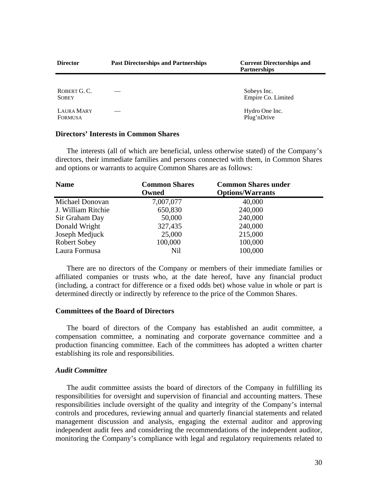| <b>Director</b>       | <b>Past Directorships and Partnerships</b> | <b>Current Directorships and</b><br><b>Partnerships</b> |
|-----------------------|--------------------------------------------|---------------------------------------------------------|
| ROBERT G.C.           |                                            | Sobeys Inc.                                             |
| <b>SOBEY</b>          |                                            | Empire Co. Limited                                      |
| LAURA MARY<br>FORMUSA |                                            | Hydro One Inc.<br>Plug'nDrive                           |

#### **Directors' Interests in Common Shares**

The interests (all of which are beneficial, unless otherwise stated) of the Company's directors, their immediate families and persons connected with them, in Common Shares and options or warrants to acquire Common Shares are as follows:

| <b>Name</b>        | <b>Common Shares</b><br>Owned | <b>Common Shares under</b><br><b>Options/Warrants</b> |  |
|--------------------|-------------------------------|-------------------------------------------------------|--|
| Michael Donovan    | 7,007,077                     | 40,000                                                |  |
| J. William Ritchie | 650,830                       | 240,000                                               |  |
| Sir Graham Day     | 50,000                        | 240,000                                               |  |
| Donald Wright      | 327,435                       | 240,000                                               |  |
| Joseph Medjuck     | 25,000                        | 215,000                                               |  |
| Robert Sobey       | 100,000                       | 100,000                                               |  |
| Laura Formusa      | Nil                           | 100,000                                               |  |

There are no directors of the Company or members of their immediate families or affiliated companies or trusts who, at the date hereof, have any financial product (including, a contract for difference or a fixed odds bet) whose value in whole or part is determined directly or indirectly by reference to the price of the Common Shares.

#### **Committees of the Board of Directors**

The board of directors of the Company has established an audit committee, a compensation committee, a nominating and corporate governance committee and a production financing committee. Each of the committees has adopted a written charter establishing its role and responsibilities.

#### *Audit Committee*

The audit committee assists the board of directors of the Company in fulfilling its responsibilities for oversight and supervision of financial and accounting matters. These responsibilities include oversight of the quality and integrity of the Company's internal controls and procedures, reviewing annual and quarterly financial statements and related management discussion and analysis, engaging the external auditor and approving independent audit fees and considering the recommendations of the independent auditor, monitoring the Company's compliance with legal and regulatory requirements related to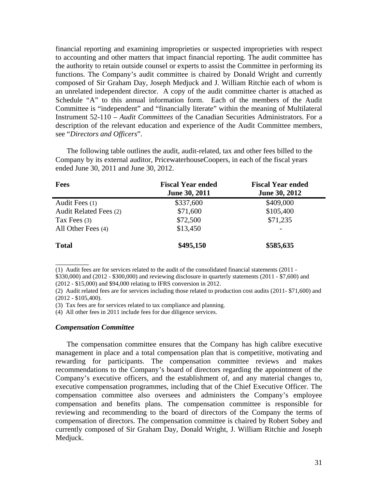financial reporting and examining improprieties or suspected improprieties with respect to accounting and other matters that impact financial reporting. The audit committee has the authority to retain outside counsel or experts to assist the Committee in performing its functions. The Company's audit committee is chaired by Donald Wright and currently composed of Sir Graham Day, Joseph Medjuck and J. William Ritchie each of whom is an unrelated independent director. A copy of the audit committee charter is attached as Schedule "A" to this annual information form. Each of the members of the Audit Committee is "independent" and "financially literate" within the meaning of Multilateral Instrument 52-110 – *Audit Committees* of the Canadian Securities Administrators. For a description of the relevant education and experience of the Audit Committee members, see "*Directors and Officers*".

The following table outlines the audit, audit-related, tax and other fees billed to the Company by its external auditor, PricewaterhouseCoopers, in each of the fiscal years ended June 30, 2011 and June 30, 2012.

| <b>Fees</b>            | <b>Fiscal Year ended</b><br><b>June 30, 2011</b> | <b>Fiscal Year ended</b><br><b>June 30, 2012</b> |
|------------------------|--------------------------------------------------|--------------------------------------------------|
| Audit Fees (1)         | \$337,600                                        | \$409,000                                        |
| Audit Related Fees (2) | \$71,600                                         | \$105,400                                        |
| Tax Fees $(3)$         | \$72,500                                         | \$71,235                                         |
| All Other Fees (4)     | \$13,450                                         | $\overline{\phantom{a}}$                         |
| <b>Total</b>           | \$495,150                                        | \$585,635                                        |

(1) Audit fees are for services related to the audit of the consolidated financial statements (2011 - \$330,000) and (2012 - \$300,000) and reviewing disclosure in quarterly statements (2011 - \$7,600) and

(2012 - \$15,000) and \$94,000 relating to IFRS conversion in 2012.

(2) Audit related fees are for services including those related to production cost audits (2011- \$71,600) and (2012 - \$105,400).

(3) Tax fees are for services related to tax compliance and planning.

(4) All other fees in 2011 include fees for due diligence services.

#### *Compensation Committee*

\_\_\_\_\_\_\_\_\_

The compensation committee ensures that the Company has high calibre executive management in place and a total compensation plan that is competitive, motivating and rewarding for participants. The compensation committee reviews and makes recommendations to the Company's board of directors regarding the appointment of the Company's executive officers, and the establishment of, and any material changes to, executive compensation programmes, including that of the Chief Executive Officer. The compensation committee also oversees and administers the Company's employee compensation and benefits plans. The compensation committee is responsible for reviewing and recommending to the board of directors of the Company the terms of compensation of directors. The compensation committee is chaired by Robert Sobey and currently composed of Sir Graham Day, Donald Wright, J. William Ritchie and Joseph Medjuck.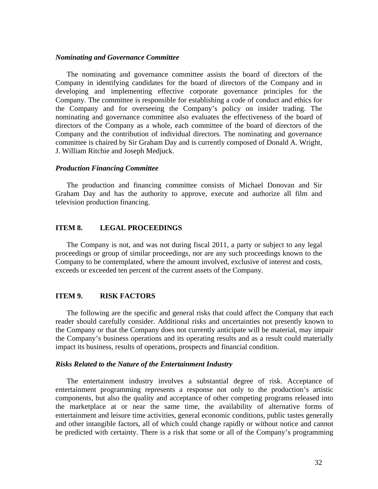#### *Nominating and Governance Committee*

The nominating and governance committee assists the board of directors of the Company in identifying candidates for the board of directors of the Company and in developing and implementing effective corporate governance principles for the Company. The committee is responsible for establishing a code of conduct and ethics for the Company and for overseeing the Company's policy on insider trading. The nominating and governance committee also evaluates the effectiveness of the board of directors of the Company as a whole, each committee of the board of directors of the Company and the contribution of individual directors. The nominating and governance committee is chaired by Sir Graham Day and is currently composed of Donald A. Wright, J. William Ritchie and Joseph Medjuck.

#### *Production Financing Committee*

The production and financing committee consists of Michael Donovan and Sir Graham Day and has the authority to approve, execute and authorize all film and television production financing.

#### **ITEM 8. LEGAL PROCEEDINGS**

The Company is not, and was not during fiscal 2011, a party or subject to any legal proceedings or group of similar proceedings, nor are any such proceedings known to the Company to be contemplated, where the amount involved, exclusive of interest and costs, exceeds or exceeded ten percent of the current assets of the Company.

#### **ITEM 9. RISK FACTORS**

The following are the specific and general risks that could affect the Company that each reader should carefully consider. Additional risks and uncertainties not presently known to the Company or that the Company does not currently anticipate will be material, may impair the Company's business operations and its operating results and as a result could materially impact its business, results of operations, prospects and financial condition.

#### *Risks Related to the Nature of the Entertainment Industry*

The entertainment industry involves a substantial degree of risk. Acceptance of entertainment programming represents a response not only to the production's artistic components, but also the quality and acceptance of other competing programs released into the marketplace at or near the same time, the availability of alternative forms of entertainment and leisure time activities, general economic conditions, public tastes generally and other intangible factors, all of which could change rapidly or without notice and cannot be predicted with certainty. There is a risk that some or all of the Company's programming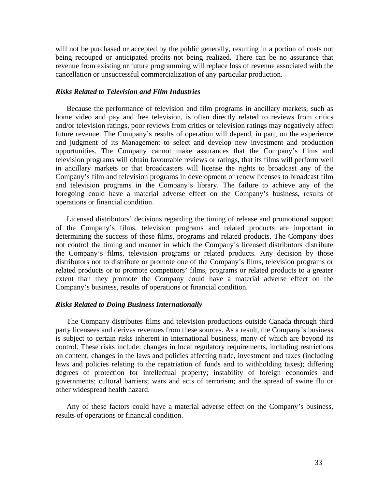will not be purchased or accepted by the public generally, resulting in a portion of costs not being recouped or anticipated profits not being realized. There can be no assurance that revenue from existing or future programming will replace loss of revenue associated with the cancellation or unsuccessful commercialization of any particular production.

#### *Risks Related to Television and Film Industries*

Because the performance of television and film programs in ancillary markets, such as home video and pay and free television, is often directly related to reviews from critics and/or television ratings, poor reviews from critics or television ratings may negatively affect future revenue. The Company's results of operation will depend, in part, on the experience and judgment of its Management to select and develop new investment and production opportunities. The Company cannot make assurances that the Company's films and television programs will obtain favourable reviews or ratings, that its films will perform well in ancillary markets or that broadcasters will license the rights to broadcast any of the Company's film and television programs in development or renew licenses to broadcast film and television programs in the Company's library. The failure to achieve any of the foregoing could have a material adverse effect on the Company's business, results of operations or financial condition.

Licensed distributors' decisions regarding the timing of release and promotional support of the Company's films, television programs and related products are important in determining the success of these films, programs and related products. The Company does not control the timing and manner in which the Company's licensed distributors distribute the Company's films, television programs or related products. Any decision by those distributors not to distribute or promote one of the Company's films, television programs or related products or to promote competitors' films, programs or related products to a greater extent than they promote the Company could have a material adverse effect on the Company's business, results of operations or financial condition.

#### *Risks Related to Doing Business Internationally*

The Company distributes films and television productions outside Canada through third party licensees and derives revenues from these sources. As a result, the Company's business is subject to certain risks inherent in international business, many of which are beyond its control. These risks include: changes in local regulatory requirements, including restrictions on content; changes in the laws and policies affecting trade, investment and taxes (including laws and policies relating to the repatriation of funds and to withholding taxes); differing degrees of protection for intellectual property; instability of foreign economies and governments; cultural barriers; wars and acts of terrorism; and the spread of swine flu or other widespread health hazard.

Any of these factors could have a material adverse effect on the Company's business, results of operations or financial condition.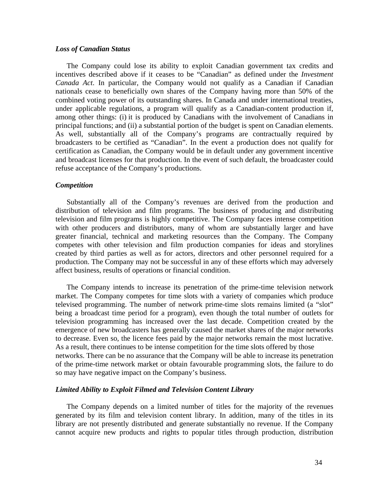#### *Loss of Canadian Status*

The Company could lose its ability to exploit Canadian government tax credits and incentives described above if it ceases to be "Canadian" as defined under the *Investment Canada Act*. In particular, the Company would not qualify as a Canadian if Canadian nationals cease to beneficially own shares of the Company having more than 50% of the combined voting power of its outstanding shares. In Canada and under international treaties, under applicable regulations, a program will qualify as a Canadian-content production if, among other things: (i) it is produced by Canadians with the involvement of Canadians in principal functions; and (ii) a substantial portion of the budget is spent on Canadian elements. As well, substantially all of the Company's programs are contractually required by broadcasters to be certified as "Canadian". In the event a production does not qualify for certification as Canadian, the Company would be in default under any government incentive and broadcast licenses for that production. In the event of such default, the broadcaster could refuse acceptance of the Company's productions.

#### *Competition*

Substantially all of the Company's revenues are derived from the production and distribution of television and film programs. The business of producing and distributing television and film programs is highly competitive. The Company faces intense competition with other producers and distributors, many of whom are substantially larger and have greater financial, technical and marketing resources than the Company. The Company competes with other television and film production companies for ideas and storylines created by third parties as well as for actors, directors and other personnel required for a production. The Company may not be successful in any of these efforts which may adversely affect business, results of operations or financial condition.

The Company intends to increase its penetration of the prime-time television network market. The Company competes for time slots with a variety of companies which produce televised programming. The number of network prime-time slots remains limited (a "slot" being a broadcast time period for a program), even though the total number of outlets for television programming has increased over the last decade. Competition created by the emergence of new broadcasters has generally caused the market shares of the major networks to decrease. Even so, the licence fees paid by the major networks remain the most lucrative. As a result, there continues to be intense competition for the time slots offered by those networks. There can be no assurance that the Company will be able to increase its penetration of the prime-time network market or obtain favourable programming slots, the failure to do so may have negative impact on the Company's business.

#### *Limited Ability to Exploit Filmed and Television Content Library*

The Company depends on a limited number of titles for the majority of the revenues generated by its film and television content library. In addition, many of the titles in its library are not presently distributed and generate substantially no revenue. If the Company cannot acquire new products and rights to popular titles through production, distribution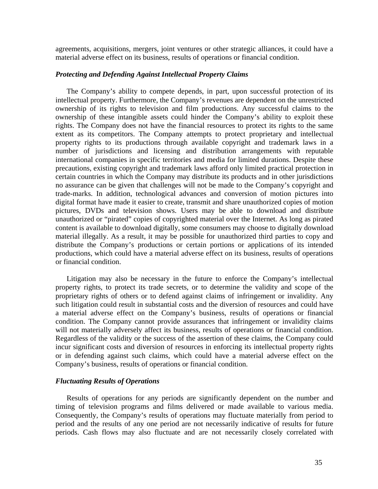agreements, acquisitions, mergers, joint ventures or other strategic alliances, it could have a material adverse effect on its business, results of operations or financial condition.

#### *Protecting and Defending Against Intellectual Property Claims*

The Company's ability to compete depends, in part, upon successful protection of its intellectual property. Furthermore, the Company's revenues are dependent on the unrestricted ownership of its rights to television and film productions. Any successful claims to the ownership of these intangible assets could hinder the Company's ability to exploit these rights. The Company does not have the financial resources to protect its rights to the same extent as its competitors. The Company attempts to protect proprietary and intellectual property rights to its productions through available copyright and trademark laws in a number of jurisdictions and licensing and distribution arrangements with reputable international companies in specific territories and media for limited durations. Despite these precautions, existing copyright and trademark laws afford only limited practical protection in certain countries in which the Company may distribute its products and in other jurisdictions no assurance can be given that challenges will not be made to the Company's copyright and trade-marks. In addition, technological advances and conversion of motion pictures into digital format have made it easier to create, transmit and share unauthorized copies of motion pictures, DVDs and television shows. Users may be able to download and distribute unauthorized or "pirated" copies of copyrighted material over the Internet. As long as pirated content is available to download digitally, some consumers may choose to digitally download material illegally. As a result, it may be possible for unauthorized third parties to copy and distribute the Company's productions or certain portions or applications of its intended productions, which could have a material adverse effect on its business, results of operations or financial condition.

Litigation may also be necessary in the future to enforce the Company's intellectual property rights, to protect its trade secrets, or to determine the validity and scope of the proprietary rights of others or to defend against claims of infringement or invalidity. Any such litigation could result in substantial costs and the diversion of resources and could have a material adverse effect on the Company's business, results of operations or financial condition. The Company cannot provide assurances that infringement or invalidity claims will not materially adversely affect its business, results of operations or financial condition. Regardless of the validity or the success of the assertion of these claims, the Company could incur significant costs and diversion of resources in enforcing its intellectual property rights or in defending against such claims, which could have a material adverse effect on the Company's business, results of operations or financial condition.

#### *Fluctuating Results of Operations*

Results of operations for any periods are significantly dependent on the number and timing of television programs and films delivered or made available to various media. Consequently, the Company's results of operations may fluctuate materially from period to period and the results of any one period are not necessarily indicative of results for future periods. Cash flows may also fluctuate and are not necessarily closely correlated with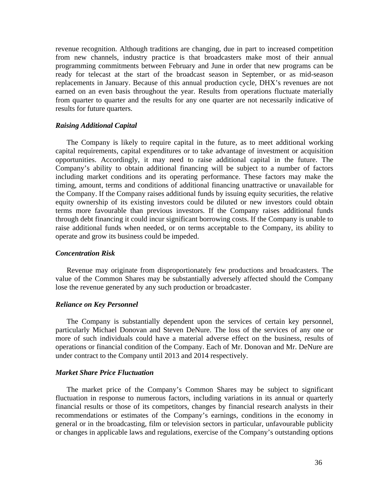revenue recognition. Although traditions are changing, due in part to increased competition from new channels, industry practice is that broadcasters make most of their annual programming commitments between February and June in order that new programs can be ready for telecast at the start of the broadcast season in September, or as mid-season replacements in January. Because of this annual production cycle, DHX's revenues are not earned on an even basis throughout the year. Results from operations fluctuate materially from quarter to quarter and the results for any one quarter are not necessarily indicative of results for future quarters.

#### *Raising Additional Capital*

The Company is likely to require capital in the future, as to meet additional working capital requirements, capital expenditures or to take advantage of investment or acquisition opportunities. Accordingly, it may need to raise additional capital in the future. The Company's ability to obtain additional financing will be subject to a number of factors including market conditions and its operating performance. These factors may make the timing, amount, terms and conditions of additional financing unattractive or unavailable for the Company. If the Company raises additional funds by issuing equity securities, the relative equity ownership of its existing investors could be diluted or new investors could obtain terms more favourable than previous investors. If the Company raises additional funds through debt financing it could incur significant borrowing costs. If the Company is unable to raise additional funds when needed, or on terms acceptable to the Company, its ability to operate and grow its business could be impeded.

#### *Concentration Risk*

Revenue may originate from disproportionately few productions and broadcasters. The value of the Common Shares may be substantially adversely affected should the Company lose the revenue generated by any such production or broadcaster.

#### *Reliance on Key Personnel*

The Company is substantially dependent upon the services of certain key personnel, particularly Michael Donovan and Steven DeNure. The loss of the services of any one or more of such individuals could have a material adverse effect on the business, results of operations or financial condition of the Company. Each of Mr. Donovan and Mr. DeNure are under contract to the Company until 2013 and 2014 respectively.

#### *Market Share Price Fluctuation*

The market price of the Company's Common Shares may be subject to significant fluctuation in response to numerous factors, including variations in its annual or quarterly financial results or those of its competitors, changes by financial research analysts in their recommendations or estimates of the Company's earnings, conditions in the economy in general or in the broadcasting, film or television sectors in particular, unfavourable publicity or changes in applicable laws and regulations, exercise of the Company's outstanding options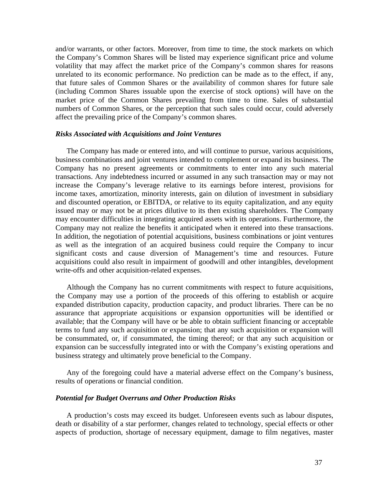and/or warrants, or other factors. Moreover, from time to time, the stock markets on which the Company's Common Shares will be listed may experience significant price and volume volatility that may affect the market price of the Company's common shares for reasons unrelated to its economic performance. No prediction can be made as to the effect, if any, that future sales of Common Shares or the availability of common shares for future sale (including Common Shares issuable upon the exercise of stock options) will have on the market price of the Common Shares prevailing from time to time. Sales of substantial numbers of Common Shares, or the perception that such sales could occur, could adversely affect the prevailing price of the Company's common shares.

#### *Risks Associated with Acquisitions and Joint Ventures*

The Company has made or entered into, and will continue to pursue, various acquisitions, business combinations and joint ventures intended to complement or expand its business. The Company has no present agreements or commitments to enter into any such material transactions. Any indebtedness incurred or assumed in any such transaction may or may not increase the Company's leverage relative to its earnings before interest, provisions for income taxes, amortization, minority interests, gain on dilution of investment in subsidiary and discounted operation, or EBITDA, or relative to its equity capitalization, and any equity issued may or may not be at prices dilutive to its then existing shareholders. The Company may encounter difficulties in integrating acquired assets with its operations. Furthermore, the Company may not realize the benefits it anticipated when it entered into these transactions. In addition, the negotiation of potential acquisitions, business combinations or joint ventures as well as the integration of an acquired business could require the Company to incur significant costs and cause diversion of Management's time and resources. Future acquisitions could also result in impairment of goodwill and other intangibles, development write-offs and other acquisition-related expenses.

Although the Company has no current commitments with respect to future acquisitions, the Company may use a portion of the proceeds of this offering to establish or acquire expanded distribution capacity, production capacity, and product libraries. There can be no assurance that appropriate acquisitions or expansion opportunities will be identified or available; that the Company will have or be able to obtain sufficient financing or acceptable terms to fund any such acquisition or expansion; that any such acquisition or expansion will be consummated, or, if consummated, the timing thereof; or that any such acquisition or expansion can be successfully integrated into or with the Company's existing operations and business strategy and ultimately prove beneficial to the Company.

Any of the foregoing could have a material adverse effect on the Company's business, results of operations or financial condition.

#### *Potential for Budget Overruns and Other Production Risks*

A production's costs may exceed its budget. Unforeseen events such as labour disputes, death or disability of a star performer, changes related to technology, special effects or other aspects of production, shortage of necessary equipment, damage to film negatives, master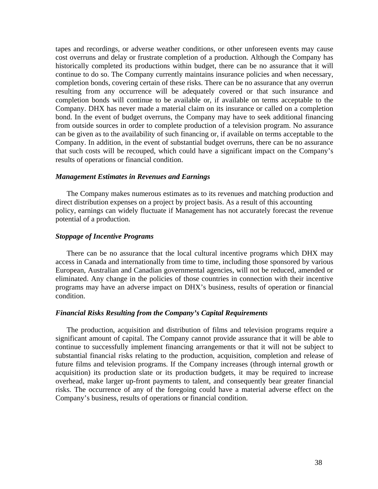tapes and recordings, or adverse weather conditions, or other unforeseen events may cause cost overruns and delay or frustrate completion of a production. Although the Company has historically completed its productions within budget, there can be no assurance that it will continue to do so. The Company currently maintains insurance policies and when necessary, completion bonds, covering certain of these risks. There can be no assurance that any overrun resulting from any occurrence will be adequately covered or that such insurance and completion bonds will continue to be available or, if available on terms acceptable to the Company. DHX has never made a material claim on its insurance or called on a completion bond. In the event of budget overruns, the Company may have to seek additional financing from outside sources in order to complete production of a television program. No assurance can be given as to the availability of such financing or, if available on terms acceptable to the Company. In addition, in the event of substantial budget overruns, there can be no assurance that such costs will be recouped, which could have a significant impact on the Company's results of operations or financial condition.

#### *Management Estimates in Revenues and Earnings*

The Company makes numerous estimates as to its revenues and matching production and direct distribution expenses on a project by project basis. As a result of this accounting policy, earnings can widely fluctuate if Management has not accurately forecast the revenue potential of a production.

#### *Stoppage of Incentive Programs*

There can be no assurance that the local cultural incentive programs which DHX may access in Canada and internationally from time to time, including those sponsored by various European, Australian and Canadian governmental agencies, will not be reduced, amended or eliminated. Any change in the policies of those countries in connection with their incentive programs may have an adverse impact on DHX's business, results of operation or financial condition.

#### *Financial Risks Resulting from the Company's Capital Requirements*

The production, acquisition and distribution of films and television programs require a significant amount of capital. The Company cannot provide assurance that it will be able to continue to successfully implement financing arrangements or that it will not be subject to substantial financial risks relating to the production, acquisition, completion and release of future films and television programs. If the Company increases (through internal growth or acquisition) its production slate or its production budgets, it may be required to increase overhead, make larger up-front payments to talent, and consequently bear greater financial risks. The occurrence of any of the foregoing could have a material adverse effect on the Company's business, results of operations or financial condition.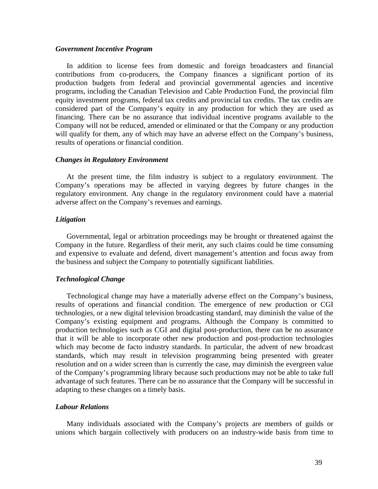#### *Government Incentive Program*

In addition to license fees from domestic and foreign broadcasters and financial contributions from co-producers, the Company finances a significant portion of its production budgets from federal and provincial governmental agencies and incentive programs, including the Canadian Television and Cable Production Fund, the provincial film equity investment programs, federal tax credits and provincial tax credits. The tax credits are considered part of the Company's equity in any production for which they are used as financing. There can be no assurance that individual incentive programs available to the Company will not be reduced, amended or eliminated or that the Company or any production will qualify for them, any of which may have an adverse effect on the Company's business, results of operations or financial condition.

#### *Changes in Regulatory Environment*

At the present time, the film industry is subject to a regulatory environment. The Company's operations may be affected in varying degrees by future changes in the regulatory environment. Any change in the regulatory environment could have a material adverse affect on the Company's revenues and earnings.

#### *Litigation*

Governmental, legal or arbitration proceedings may be brought or threatened against the Company in the future. Regardless of their merit, any such claims could be time consuming and expensive to evaluate and defend, divert management's attention and focus away from the business and subject the Company to potentially significant liabilities.

#### *Technological Change*

Technological change may have a materially adverse effect on the Company's business, results of operations and financial condition. The emergence of new production or CGI technologies, or a new digital television broadcasting standard, may diminish the value of the Company's existing equipment and programs. Although the Company is committed to production technologies such as CGI and digital post-production, there can be no assurance that it will be able to incorporate other new production and post-production technologies which may become de facto industry standards. In particular, the advent of new broadcast standards, which may result in television programming being presented with greater resolution and on a wider screen than is currently the case, may diminish the evergreen value of the Company's programming library because such productions may not be able to take full advantage of such features. There can be no assurance that the Company will be successful in adapting to these changes on a timely basis.

#### *Labour Relations*

Many individuals associated with the Company's projects are members of guilds or unions which bargain collectively with producers on an industry-wide basis from time to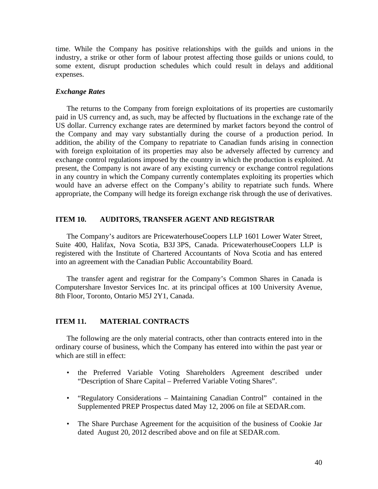time. While the Company has positive relationships with the guilds and unions in the industry, a strike or other form of labour protest affecting those guilds or unions could, to some extent, disrupt production schedules which could result in delays and additional expenses.

#### *Exchange Rates*

The returns to the Company from foreign exploitations of its properties are customarily paid in US currency and, as such, may be affected by fluctuations in the exchange rate of the US dollar. Currency exchange rates are determined by market factors beyond the control of the Company and may vary substantially during the course of a production period. In addition, the ability of the Company to repatriate to Canadian funds arising in connection with foreign exploitation of its properties may also be adversely affected by currency and exchange control regulations imposed by the country in which the production is exploited. At present, the Company is not aware of any existing currency or exchange control regulations in any country in which the Company currently contemplates exploiting its properties which would have an adverse effect on the Company's ability to repatriate such funds. Where appropriate, the Company will hedge its foreign exchange risk through the use of derivatives.

#### **ITEM 10. AUDITORS, TRANSFER AGENT AND REGISTRAR**

The Company's auditors are PricewaterhouseCoopers LLP 1601 Lower Water Street, Suite 400, Halifax, Nova Scotia, B3J 3PS, Canada. PricewaterhouseCoopers LLP is registered with the Institute of Chartered Accountants of Nova Scotia and has entered into an agreement with the Canadian Public Accountability Board.

The transfer agent and registrar for the Company's Common Shares in Canada is Computershare Investor Services Inc. at its principal offices at 100 University Avenue, 8th Floor, Toronto, Ontario M5J 2Y1, Canada.

#### **ITEM 11. MATERIAL CONTRACTS**

The following are the only material contracts, other than contracts entered into in the ordinary course of business, which the Company has entered into within the past year or which are still in effect:

- the Preferred Variable Voting Shareholders Agreement described under "Description of Share Capital – Preferred Variable Voting Shares".
- "Regulatory Considerations Maintaining Canadian Control" contained in the Supplemented PREP Prospectus dated May 12, 2006 on file at SEDAR.com.
- The Share Purchase Agreement for the acquisition of the business of Cookie Jar dated August 20, 2012 described above and on file at SEDAR.com.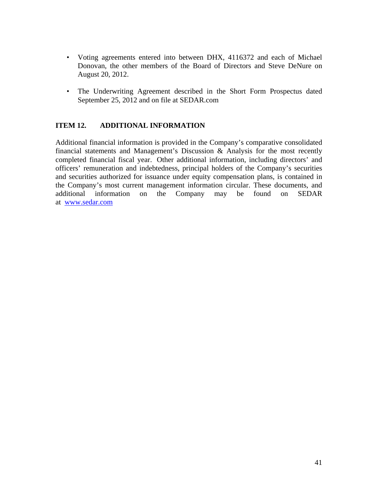- Voting agreements entered into between DHX, 4116372 and each of Michael Donovan, the other members of the Board of Directors and Steve DeNure on August 20, 2012.
- The Underwriting Agreement described in the Short Form Prospectus dated September 25, 2012 and on file at SEDAR.com

# **ITEM 12. ADDITIONAL INFORMATION**

Additional financial information is provided in the Company's comparative consolidated financial statements and Management's Discussion & Analysis for the most recently completed financial fiscal year. Other additional information, including directors' and officers' remuneration and indebtedness, principal holders of the Company's securities and securities authorized for issuance under equity compensation plans, is contained in the Company's most current management information circular. These documents, and additional information on the Company may be found on SEDAR at www.sedar.com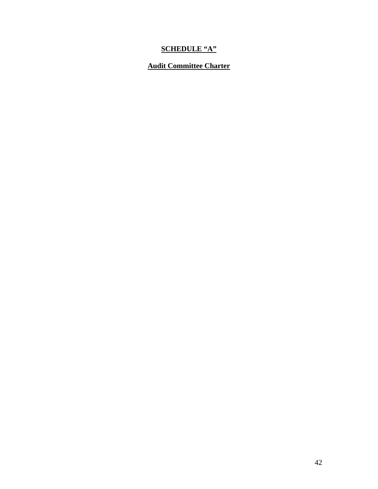# **SCHEDULE "A"**

# **Audit Committee Charter**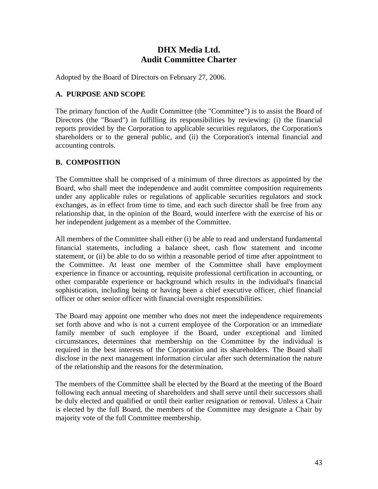# **DHX Media Ltd. Audit Committee Charter**

Adopted by the Board of Directors on February 27, 2006.

# **A. PURPOSE AND SCOPE**

The primary function of the Audit Committee (the "Committee") is to assist the Board of Directors (the "Board") in fulfilling its responsibilities by reviewing: (i) the financial reports provided by the Corporation to applicable securities regulators, the Corporation's shareholders or to the general public, and (ii) the Corporation's internal financial and accounting controls.

# **B. COMPOSITION**

The Committee shall be comprised of a minimum of three directors as appointed by the Board, who shall meet the independence and audit committee composition requirements under any applicable rules or regulations of applicable securities regulators and stock exchanges, as in effect from time to time, and each such director shall be free from any relationship that, in the opinion of the Board, would interfere with the exercise of his or her independent judgement as a member of the Committee.

All members of the Committee shall either (i) be able to read and understand fundamental financial statements, including a balance sheet, cash flow statement and income statement, or (ii) be able to do so within a reasonable period of time after appointment to the Committee. At least one member of the Committee shall have employment experience in finance or accounting, requisite professional certification in accounting, or other comparable experience or background which results in the individual's financial sophistication, including being or having been a chief executive officer, chief financial officer or other senior officer with financial oversight responsibilities.

The Board may appoint one member who does not meet the independence requirements set forth above and who is not a current employee of the Corporation or an immediate family member of such employee if the Board, under exceptional and limited circumstances, determines that membership on the Committee by the individual is required in the best interests of the Corporation and its shareholders. The Board shall disclose in the next management information circular after such determination the nature of the relationship and the reasons for the determination.

The members of the Committee shall be elected by the Board at the meeting of the Board following each annual meeting of shareholders and shall serve until their successors shall be duly elected and qualified or until their earlier resignation or removal. Unless a Chair is elected by the full Board, the members of the Committee may designate a Chair by majority vote of the full Committee membership.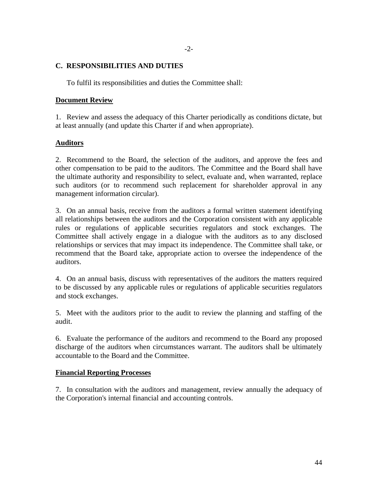### **C. RESPONSIBILITIES AND DUTIES**

To fulfil its responsibilities and duties the Committee shall:

#### **Document Review**

1. Review and assess the adequacy of this Charter periodically as conditions dictate, but at least annually (and update this Charter if and when appropriate).

### **Auditors**

2. Recommend to the Board, the selection of the auditors, and approve the fees and other compensation to be paid to the auditors. The Committee and the Board shall have the ultimate authority and responsibility to select, evaluate and, when warranted, replace such auditors (or to recommend such replacement for shareholder approval in any management information circular).

3. On an annual basis, receive from the auditors a formal written statement identifying all relationships between the auditors and the Corporation consistent with any applicable rules or regulations of applicable securities regulators and stock exchanges. The Committee shall actively engage in a dialogue with the auditors as to any disclosed relationships or services that may impact its independence. The Committee shall take, or recommend that the Board take, appropriate action to oversee the independence of the auditors.

4. On an annual basis, discuss with representatives of the auditors the matters required to be discussed by any applicable rules or regulations of applicable securities regulators and stock exchanges.

5. Meet with the auditors prior to the audit to review the planning and staffing of the audit.

6. Evaluate the performance of the auditors and recommend to the Board any proposed discharge of the auditors when circumstances warrant. The auditors shall be ultimately accountable to the Board and the Committee.

#### **Financial Reporting Processes**

7. In consultation with the auditors and management, review annually the adequacy of the Corporation's internal financial and accounting controls.